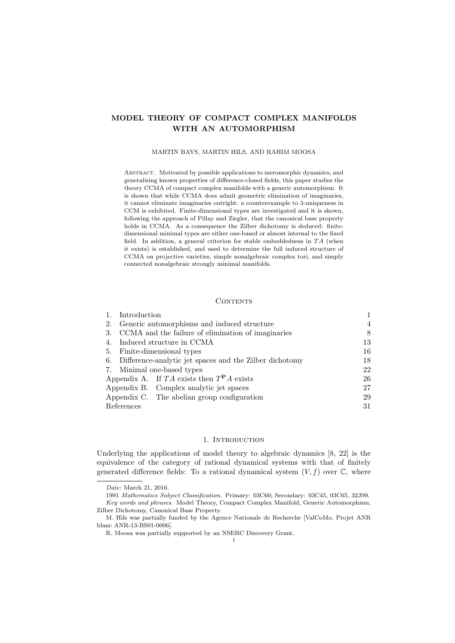# MODEL THEORY OF COMPACT COMPLEX MANIFOLDS WITH AN AUTOMORPHISM

#### MARTIN BAYS, MARTIN HILS, AND RAHIM MOOSA

Abstract. Motivated by possible applications to meromorphic dynamics, and generalising known properties of difference-closed fields, this paper studies the theory CCMA of compact complex manifolds with a generic automorphism. It is shown that while CCMA does admit geometric elimination of imaginaries, it cannot eliminate imaginaries outright: a counterexample to 3-uniqueness in CCM is exhibited. Finite-dimensional types are investigated and it is shown, following the approach of Pillay and Ziegler, that the canonical base property holds in CCMA. As a consequence the Zilber dichotomy is deduced: finitedimensional minimal types are either one-based or almost internal to the fixed field. In addition, a general criterion for stable embeddedness in  $TA$  (when it exists) is established, and used to determine the full induced structure of CCMA on projective varieties, simple nonalgebraic complex tori, and simply connected nonalgebraic strongly minimal manifolds.

#### **CONTENTS**

|            | Introduction                                               |    |
|------------|------------------------------------------------------------|----|
| 2.         | Generic automorphisms and induced structure                | 4  |
| 3.         | CCMA and the failure of elimination of imaginaries         | 8  |
| 4.         | Induced structure in CCMA                                  | 13 |
| 5.         | Finite-dimensional types                                   | 16 |
|            | 6. Difference-analytic jet spaces and the Zilber dichotomy | 18 |
|            | 7. Minimal one-based types                                 | 22 |
|            | Appendix A. If TA exists then $T^{\mathbf{P}}A$ exists     | 26 |
|            | Appendix B. Complex analytic jet spaces                    | 27 |
|            | Appendix C. The abelian group configuration                | 29 |
| References |                                                            | 31 |

## 1. INTRODUCTION

Underlying the applications of model theory to algebraic dynamics [8, 22] is the equivalence of the category of rational dynamical systems with that of finitely generated difference fields: To a rational dynamical system  $(V, f)$  over  $\mathbb{C}$ , where

Date: March 21, 2016.

<sup>1991</sup> Mathematics Subject Classification. Primary: 03C60; Secondary: 03C45, 03C65, 32J99. Key words and phrases. Model Theory, Compact Complex Manifold, Generic Automorphism, Zilber Dichotomy, Canonical Base Property.

M. Hils was partially funded by the Agence Nationale de Recherche [ValCoMo, Projet ANR blanc ANR-13-BS01-0006].

R. Moosa was partially supported by an NSERC Discovery Grant.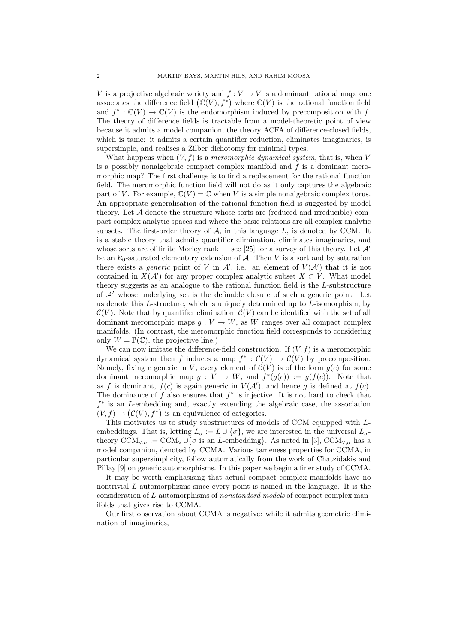V is a projective algebraic variety and  $f: V \to V$  is a dominant rational map, one associates the difference field  $(\mathbb{C}(V), f^*)$  where  $\mathbb{C}(V)$  is the rational function field and  $f^* : \mathbb{C}(V) \to \mathbb{C}(V)$  is the endomorphism induced by precomposition with f. The theory of difference fields is tractable from a model-theoretic point of view because it admits a model companion, the theory ACFA of difference-closed fields, which is tame: it admits a certain quantifier reduction, eliminates imaginaries, is supersimple, and realises a Zilber dichotomy for minimal types.

What happens when  $(V, f)$  is a *meromorphic dynamical system*, that is, when V is a possibly nonalgebraic compact complex manifold and  $f$  is a dominant meromorphic map? The first challenge is to find a replacement for the rational function field. The meromorphic function field will not do as it only captures the algebraic part of V. For example,  $\mathbb{C}(V) = \mathbb{C}$  when V is a simple nonalgebraic complex torus. An appropriate generalisation of the rational function field is suggested by model theory. Let  $A$  denote the structure whose sorts are (reduced and irreducible) compact complex analytic spaces and where the basic relations are all complex analytic subsets. The first-order theory of  $A$ , in this language  $L$ , is denoted by CCM. It is a stable theory that admits quantifier elimination, eliminates imaginaries, and whose sorts are of finite Morley rank — see [25] for a survey of this theory. Let  $\mathcal{A}'$ be an  $\aleph_0$ -saturated elementary extension of A. Then V is a sort and by saturation there exists a *generic* point of V in  $\mathcal{A}'$ , i.e. an element of  $V(\mathcal{A}')$  that it is not contained in  $X(\mathcal{A}')$  for any proper complex analytic subset  $X \subset V$ . What model theory suggests as an analogue to the rational function field is the L-substructure of  $A'$  whose underlying set is the definable closure of such a generic point. Let us denote this  $L$ -structure, which is uniquely determined up to  $L$ -isomorphism, by  $\mathcal{C}(V)$ . Note that by quantifier elimination,  $\mathcal{C}(V)$  can be identified with the set of all dominant meromorphic maps  $g: V \to W$ , as W ranges over all compact complex manifolds. (In contrast, the meromorphic function field corresponds to considering only  $W = \mathbb{P}(\mathbb{C})$ , the projective line.)

We can now imitate the difference-field construction. If  $(V, f)$  is a meromorphic dynamical system then f induces a map  $f^* : \mathcal{C}(V) \to \mathcal{C}(V)$  by precomposition. Namely, fixing c generic in V, every element of  $C(V)$  is of the form  $g(c)$  for some dominant meromorphic map  $g: V \to W$ , and  $f^*(g(c)) := g(f(c))$ . Note that as f is dominant,  $f(c)$  is again generic in  $V(\mathcal{A}')$ , and hence g is defined at  $f(c)$ . The dominance of  $f$  also ensures that  $f^*$  is injective. It is not hard to check that f ∗ is an L-embedding and, exactly extending the algebraic case, the association  $(V, f) \mapsto (\mathcal{C}(V), f^*)$  is an equivalence of categories.

This motivates us to study substructures of models of CCM equipped with Lembeddings. That is, letting  $L_{\sigma} := L \cup {\sigma}$ , we are interested in the universal  $L_{\sigma}$ theory  $\text{CCM}_{\forall,\sigma} := \text{CCM}_{\forall} \cup \{\sigma \text{ is an } L\text{-embedding}\}\$ . As noted in [3],  $\text{CCM}_{\forall,\sigma}$  has a model companion, denoted by CCMA. Various tameness properties for CCMA, in particular supersimplicity, follow automatically from the work of Chatzidakis and Pillay [9] on generic automorphisms. In this paper we begin a finer study of CCMA.

It may be worth emphasising that actual compact complex manifolds have no nontrivial L-automorphisms since every point is named in the language. It is the consideration of L-automorphisms of nonstandard models of compact complex manifolds that gives rise to CCMA.

Our first observation about CCMA is negative: while it admits geometric elimination of imaginaries,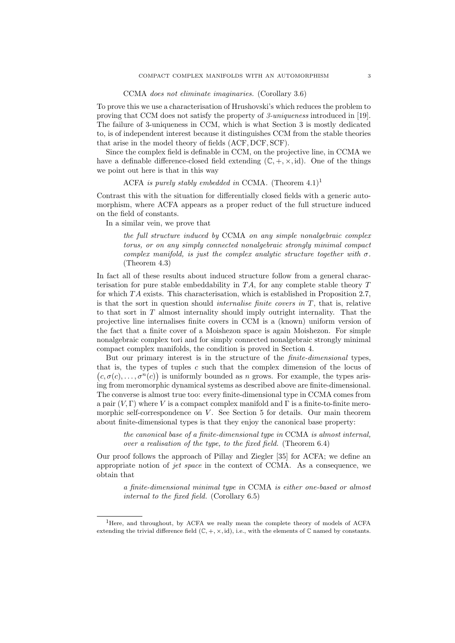#### CCMA does not eliminate imaginaries. (Corollary 3.6)

To prove this we use a characterisation of Hrushovski's which reduces the problem to proving that CCM does not satisfy the property of 3-uniqueness introduced in [19]. The failure of 3-uniqueness in CCM, which is what Section 3 is mostly dedicated to, is of independent interest because it distinguishes CCM from the stable theories that arise in the model theory of fields (ACF, DCF, SCF).

Since the complex field is definable in CCM, on the projective line, in CCMA we have a definable difference-closed field extending  $(\mathbb{C}, +, \times, id)$ . One of the things we point out here is that in this way

## ACFA is purely stably embedded in CCMA. (Theorem  $4.1$ )<sup>1</sup>

Contrast this with the situation for differentially closed fields with a generic automorphism, where ACFA appears as a proper reduct of the full structure induced on the field of constants.

In a similar vein, we prove that

the full structure induced by CCMA on any simple nonalgebraic complex torus, or on any simply connected nonalgebraic strongly minimal compact complex manifold, is just the complex analytic structure together with  $\sigma$ . (Theorem 4.3)

In fact all of these results about induced structure follow from a general characterisation for pure stable embeddability in  $TA$ , for any complete stable theory  $T$ for which  $TA$  exists. This characterisation, which is established in Proposition 2.7, is that the sort in question should *internalise finite covers in*  $T$ , that is, relative to that sort in T almost internality should imply outright internality. That the projective line internalises finite covers in CCM is a (known) uniform version of the fact that a finite cover of a Moishezon space is again Moishezon. For simple nonalgebraic complex tori and for simply connected nonalgebraic strongly minimal compact complex manifolds, the condition is proved in Section 4.

But our primary interest is in the structure of the finite-dimensional types, that is, the types of tuples  $c$  such that the complex dimension of the locus of  $(c, \sigma(c), \ldots, \sigma^n(c))$  is uniformly bounded as *n* grows. For example, the types arising from meromorphic dynamical systems as described above are finite-dimensional. The converse is almost true too: every finite-dimensional type in CCMA comes from a pair  $(V, \Gamma)$  where V is a compact complex manifold and  $\Gamma$  is a finite-to-finite meromorphic self-correspondence on  $V$ . See Section 5 for details. Our main theorem about finite-dimensional types is that they enjoy the canonical base property:

the canonical base of a finite-dimensional type in CCMA is almost internal, over a realisation of the type, to the fixed field. (Theorem 6.4)

Our proof follows the approach of Pillay and Ziegler [35] for ACFA; we define an appropriate notion of *jet space* in the context of CCMA. As a consequence, we obtain that

a finite-dimensional minimal type in CCMA is either one-based or almost internal to the fixed field. (Corollary 6.5)

<sup>&</sup>lt;sup>1</sup>Here, and throughout, by ACFA we really mean the complete theory of models of ACFA extending the trivial difference field  $(\mathbb{C}, +, \times, id)$ , i.e., with the elements of  $\mathbb{C}$  named by constants.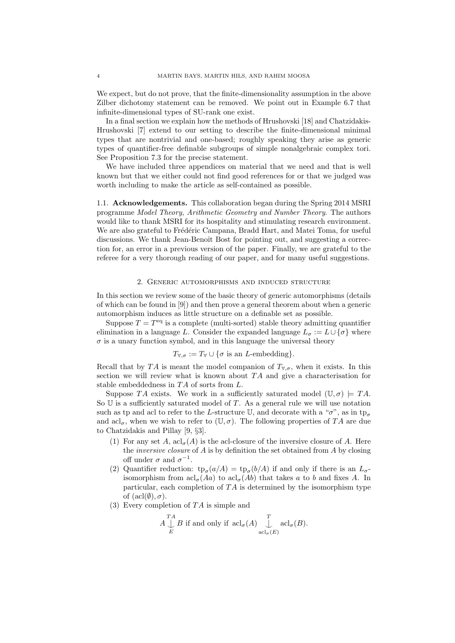We expect, but do not prove, that the finite-dimensionality assumption in the above Zilber dichotomy statement can be removed. We point out in Example 6.7 that infinite-dimensional types of SU-rank one exist.

In a final section we explain how the methods of Hrushovski [18] and Chatzidakis-Hrushovski [7] extend to our setting to describe the finite-dimensional minimal types that are nontrivial and one-based; roughly speaking they arise as generic types of quantifier-free definable subgroups of simple nonalgebraic complex tori. See Proposition 7.3 for the precise statement.

We have included three appendices on material that we need and that is well known but that we either could not find good references for or that we judged was worth including to make the article as self-contained as possible.

1.1. Acknowledgements. This collaboration began during the Spring 2014 MSRI programme Model Theory, Arithmetic Geometry and Number Theory. The authors would like to thank MSRI for its hospitality and stimulating research environment. We are also grateful to Frédéric Campana, Bradd Hart, and Matei Toma, for useful discussions. We thank Jean-Benoît Bost for pointing out, and suggesting a correction for, an error in a previous version of the paper. Finally, we are grateful to the referee for a very thorough reading of our paper, and for many useful suggestions.

### 2. Generic automorphisms and induced structure

In this section we review some of the basic theory of generic automorphisms (details of which can be found in [9]) and then prove a general theorem about when a generic automorphism induces as little structure on a definable set as possible.

Suppose  $T = T<sup>eq</sup>$  is a complete (multi-sorted) stable theory admitting quantifier elimination in a language L. Consider the expanded language  $L_{\sigma} := L \cup {\sigma}$  where  $\sigma$  is a unary function symbol, and in this language the universal theory

## $T_{\forall,\sigma} := T_{\forall} \cup \{\sigma \text{ is an } L\text{-embedding}\}.$

Recall that by TA is meant the model companion of  $T_{\forall,\sigma}$ , when it exists. In this section we will review what is known about  $TA$  and give a characterisation for stable embeddedness in  $TA$  of sorts from  $L$ .

Suppose TA exists. We work in a sufficiently saturated model  $(\mathbb{U}, \sigma) \models TA$ . So  $U$  is a sufficiently saturated model of  $T$ . As a general rule we will use notation such as tp and acl to refer to the L-structure U, and decorate with a " $\sigma$ ", as in tp<sub> $\sigma$ </sub> and  $\text{acl}_{\sigma}$ , when we wish to refer to  $(\mathbb{U}, \sigma)$ . The following properties of TA are due to Chatzidakis and Pillay [9, §3].

- (1) For any set A,  $\operatorname{acl}_{\sigma}(A)$  is the acl-closure of the inversive closure of A. Here the inversive closure of A is by definition the set obtained from A by closing off under  $\sigma$  and  $\sigma^{-1}$ .
- (2) Quantifier reduction:  $tp_{\sigma}(a/A) = tp_{\sigma}(b/A)$  if and only if there is an  $L_{\sigma}$ isomorphism from  $\operatorname{acl}_{\sigma}(Aa)$  to  $\operatorname{acl}_{\sigma}(Ab)$  that takes a to b and fixes A. In particular, each completion of  $TA$  is determined by the isomorphism type of  $(\text{acl}(\emptyset), \sigma)$ .
- (3) Every completion of  $TA$  is simple and

$$
A \bigcup_{E}^{TA} B
$$
 if and only if  $acl_{\sigma}(A) \bigcup_{acl_{\sigma}(E)}^{T} acl_{\sigma}(B)$ .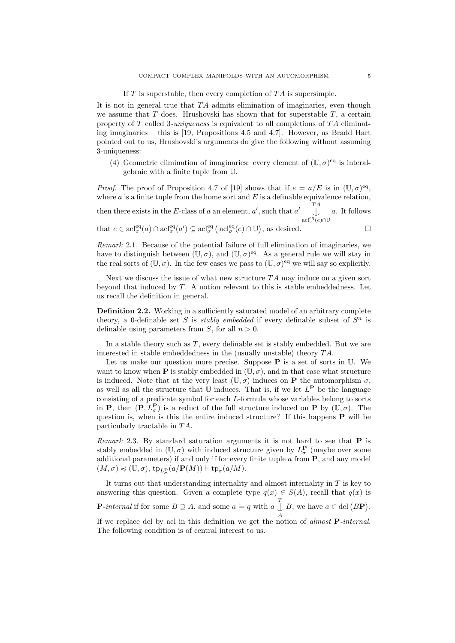#### If  $T$  is superstable, then every completion of  $TA$  is supersimple.

It is not in general true that  $TA$  admits elimination of imaginaries, even though we assume that  $T$  does. Hrushovski has shown that for superstable  $T$ , a certain property of  $T$  called 3-uniqueness is equivalent to all completions of  $TA$  eliminating imaginaries – this is [19, Propositions 4.5 and 4.7]. However, as Bradd Hart pointed out to us, Hrushovski's arguments do give the following without assuming 3-uniqueness:

(4) Geometric elimination of imaginaries: every element of  $(\mathbb{U}, \sigma)^{eq}$  is interalgebraic with a finite tuple from U.

*Proof.* The proof of Proposition 4.7 of [19] shows that if  $e = a/E$  is in  $(\mathbb{U}, \sigma)^{eq}$ , where  $a$  is a finite tuple from the home sort and  $E$  is a definable equivalence relation, then there exists in the E-class of a an element, a', such that  $a'$   $\bigcup_{\text{acl}_{\sigma}^{eq}(e)\cap\mathbb{U}}^{TA}$ a. It follows

that 
$$
e \in \operatorname{acl}_{\sigma}^{\operatorname{eq}}(a) \cap \operatorname{acl}_{\sigma}^{\operatorname{eq}}(a') \subseteq \operatorname{acl}_{\sigma}^{\operatorname{eq}}(\operatorname{acl}_{\sigma}^{\operatorname{eq}}(e) \cap \mathbb{U}),
$$
 as desired.  $\square$ 

Remark 2.1. Because of the potential failure of full elimination of imaginaries, we have to distinguish between  $(\mathbb{U}, \sigma)$ , and  $(\mathbb{U}, \sigma)^{\text{eq}}$ . As a general rule we will stay in the real sorts of  $(\mathbb{U}, \sigma)$ . In the few cases we pass to  $(\mathbb{U}, \sigma)$ <sup>eq</sup> we will say so explicitly.

Next we discuss the issue of what new structure  $TA$  may induce on a given sort beyond that induced by  $T$ . A notion relevant to this is stable embeddedness. Let us recall the definition in general.

Definition 2.2. Working in a sufficiently saturated model of an arbitrary complete theory, a 0-definable set S is *stably embedded* if every definable subset of  $S<sup>n</sup>$  is definable using parameters from S, for all  $n > 0$ .

In a stable theory such as T, every definable set is stably embedded. But we are interested in stable embeddedness in the (usually unstable) theory  $TA$ .

Let us make our question more precise. Suppose  $P$  is a set of sorts in U. We want to know when **P** is stably embedded in  $(\mathbb{U}, \sigma)$ , and in that case what structure is induced. Note that at the very least  $(\mathbb{U}, \sigma)$  induces on **P** the automorphism  $\sigma$ , as well as all the structure that  $\mathbb U$  induces. That is, if we let  $L^{\mathbf P}$  be the language consisting of a predicate symbol for each L-formula whose variables belong to sorts in **P**, then  $(P, L^P_\sigma)$  is a reduct of the full structure induced on **P** by  $(\mathbb{U}, \sigma)$ . The question is, when is this the entire induced structure? If this happens  $P$  will be particularly tractable in  $TA$ .

Remark 2.3. By standard saturation arguments it is not hard to see that  $P$  is stably embedded in  $(\mathbb{U}, \sigma)$  with induced structure given by  $L^{\mathbf{P}}_{\sigma}$  (maybe over some additional parameters) if and only if for every finite tuple  $a$  from  $P$ , and any model  $(M, \sigma) \preccurlyeq (\mathbb{U}, \sigma), \, \text{tp}_{L^{\mathbf{P}}_{\sigma}}(a/\mathbf{P}(M)) \vdash \text{tp}_{\sigma}(a/M).$ 

It turns out that understanding internality and almost internality in  $T$  is key to answering this question. Given a complete type  $q(x) \in S(A)$ , recall that  $q(x)$  is **P**-internal if for some  $B \supseteq A$ , and some  $a \models q$  with  $a \bigcup_{A}^{T}$ B, we have  $a \in \text{dcl}(B\mathbf{P})$ .

If we replace dcl by acl in this definition we get the notion of almost P-internal. The following condition is of central interest to us.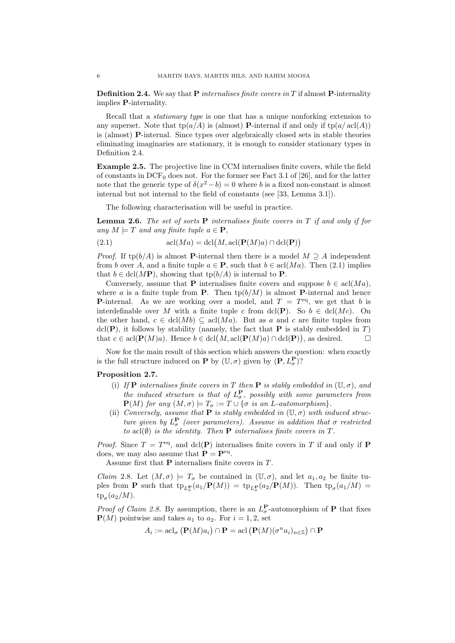**Definition 2.4.** We say that **P** internalises finite covers in T if almost **P**-internality implies P-internality.

Recall that a stationary type is one that has a unique nonforking extension to any superset. Note that  $tp(a/A)$  is (almost) **P**-internal if and only if  $tp(a/\operatorname{acl}(A))$ is (almost) P-internal. Since types over algebraically closed sets in stable theories eliminating imaginaries are stationary, it is enough to consider stationary types in Definition 2.4.

Example 2.5. The projective line in CCM internalises finite covers, while the field of constants in  $DCF_0$  does not. For the former see Fact 3.1 of [26], and for the latter note that the generic type of  $\delta(x^2 - b) = 0$  where b is a fixed non-constant is almost internal but not internal to the field of constants (see [33, Lemma 3.1]).

The following characterisation will be useful in practice.

**Lemma 2.6.** The set of sorts  $P$  internalises finite covers in  $T$  if and only if for any  $M \models T$  and any finite tuple  $a \in \mathbf{P}$ ,

(2.1) 
$$
\operatorname{acl}(Ma) = \operatorname{dcl}(M, \operatorname{acl}(\mathbf{P}(M)a) \cap \operatorname{dcl}(\mathbf{P}))
$$

*Proof.* If tp(b/A) is almost **P**-internal then there is a model  $M \supseteq A$  independent from b over A, and a finite tuple  $a \in \mathbf{P}$ , such that  $b \in \text{acl}(Ma)$ . Then (2.1) implies that  $b \in \text{dcl}(M\mathbf{P})$ , showing that  $\text{tp}(b/A)$  is internal to **P**.

Conversely, assume that P internalises finite covers and suppose  $b \in \text{acl}(Ma)$ , where a is a finite tuple from **P**. Then  $\text{tp}(b/M)$  is almost **P**-internal and hence **P**-internal. As we are working over a model, and  $T = T<sup>eq</sup>$ , we get that b is interdefinable over M with a finite tuple c from dcl(P). So  $b \in \text{dcl}(Mc)$ . On the other hand,  $c \in \text{dcl}(Mb) \subseteq \text{acl}(Ma)$ . But as a and c are finite tuples from  $dcl(\mathbf{P})$ , it follows by stability (namely, the fact that **P** is stably embedded in T) that  $c \in \text{acl}(\mathbf{P}(M)a)$ . Hence  $b \in \text{dcl}(M, \text{acl}(\mathbf{P}(M)a) \cap \text{dcl}(\mathbf{P}))$ , as desired.

Now for the main result of this section which answers the question: when exactly is the full structure induced on **P** by  $(\mathbb{U}, \sigma)$  given by  $(\mathbf{P}, L^{\mathbf{P}}_{\sigma})$ ?

## Proposition 2.7.

- (i) If P internalises finite covers in T then P is stably embedded in  $(\mathbb{U}, \sigma)$ , and the induced structure is that of  $L^{\mathbf{P}}_{\sigma}$ , possibly with some parameters from  $\mathbf{P}(M)$  for any  $(M, \sigma) \models T_{\sigma} := T \cup \{\sigma \text{ is an } L\text{-automorphism}\}.$
- (ii) Conversely, assume that **P** is stably embedded in  $(\mathbb{U}, \sigma)$  with induced structure given by  $L^{\mathbf{P}}_{\sigma}$  (over parameters). Assume in addition that  $\sigma$  restricted to acl $(\emptyset)$  is the identity. Then **P** internalises finite covers in T.

*Proof.* Since  $T = T<sup>eq</sup>$ , and dcl(P) internalises finite covers in T if and only if P does, we may also assume that  $\mathbf{P} = \mathbf{P}^{\text{eq}}$ .

Assume first that  $P$  internalises finite covers in  $T$ .

*Claim* 2.8. Let  $(M, \sigma) \models T_{\sigma}$  be contained in  $(\mathbb{U}, \sigma)$ , and let  $a_1, a_2$  be finite tuples from **P** such that  $\text{tp}_{L^{\mathbf{P}}_{\sigma}}(a_1/\mathbf{P}(M)) = \text{tp}_{L^{\mathbf{P}}_{\sigma}}(a_2/\mathbf{P}(M))$ . Then  $\text{tp}_{\sigma}(a_1/M) =$  $tp_{\sigma}(a_2/M).$ 

*Proof of Claim 2.8.* By assumption, there is an  $L^{\mathbf{P}}_{\sigma}$ -automorphism of **P** that fixes  ${\bf P}(M)$  pointwise and takes  $a_1$  to  $a_2$ . For  $i = 1, 2$ , set

$$
A_i := \operatorname{acl}_{\sigma} (\mathbf{P}(M)a_i) \cap \mathbf{P} = \operatorname{acl} (\mathbf{P}(M)(\sigma^n a_i)_{n \in \mathbb{Z}}) \cap \mathbf{P}
$$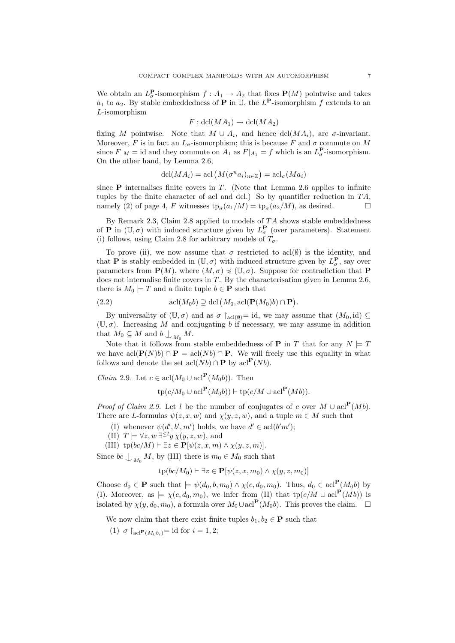We obtain an  $L^{\mathbf{P}}_{\sigma}$ -isomorphism  $f: A_1 \to A_2$  that fixes  $\mathbf{P}(M)$  pointwise and takes  $a_1$  to  $a_2$ . By stable embeddedness of **P** in U, the  $L^{\mathbf{P}}$ -isomorphism f extends to an L-isomorphism

$$
F: \text{dcl}(MA_1) \to \text{dcl}(MA_2)
$$

fixing M pointwise. Note that  $M \cup A_i$ , and hence dcl( $MA_i$ ), are  $\sigma$ -invariant. Moreover, F is in fact an  $L_{\sigma}$ -isomorphism; this is because F and  $\sigma$  commute on M since  $F|_M = \text{id}$  and they commute on  $A_1$  as  $F|_{A_1} = f$  which is an  $L^{\mathbf{P}}_{\sigma}$ -isomorphism. On the other hand, by Lemma 2.6,

$$
dcl(MA_i) = \operatorname{acl}(M(\sigma^n a_i)_{n \in \mathbb{Z}}) = \operatorname{acl}_{\sigma}(Ma_i)
$$

since  $P$  internalises finite covers in  $T$ . (Note that Lemma 2.6 applies to infinite tuples by the finite character of acl and dcl.) So by quantifier reduction in  $TA$ , namely (2) of page 4, F witnesses  $tp_{\sigma}(a_1/M) = tp_{\sigma}(a_2/M)$ , as desired.

By Remark 2.3, Claim 2.8 applied to models of  $TA$  shows stable embeddedness of **P** in  $(\mathbb{U}, \sigma)$  with induced structure given by  $L^{\mathbf{P}}_{\sigma}$  (over parameters). Statement (i) follows, using Claim 2.8 for arbitrary models of  $T_{\sigma}$ .

To prove (ii), we now assume that  $\sigma$  restricted to acl( $\emptyset$ ) is the identity, and that **P** is stably embedded in  $(\mathbb{U}, \sigma)$  with induced structure given by  $L^{\mathbf{P}}_{\sigma}$ , say over parameters from  $\mathbf{P}(M)$ , where  $(M, \sigma) \preccurlyeq (\mathbb{U}, \sigma)$ . Suppose for contradiction that P does not internalise finite covers in T. By the characterisation given in Lemma 2.6, there is  $M_0 \models T$  and a finite tuple  $b \in \mathbf{P}$  such that

(2.2) 
$$
\operatorname{acl}(M_0b) \supsetneq \operatorname{dcl}(M_0, \operatorname{acl}(\mathbf{P}(M_0)b) \cap \mathbf{P}).
$$

By universality of  $(\mathbb{U}, \sigma)$  and as  $\sigma$   $\restriction_{\text{acl}(\emptyset)}=$  id, we may assume that  $(M_0, id) \subseteq$  $(\mathbb{U}, \sigma)$ . Increasing M and conjugating b if necessary, we may assume in addition that  $M_0 \subseteq M$  and  $b \bigcup_{M_0} M$ .

Note that it follows from stable embeddedness of **P** in T that for any  $N \models T$ we have acl $(\mathbf{P}(N)b) \cap \mathbf{P} = \text{acl}(Nb) \cap \mathbf{P}$ . We will freely use this equality in what follows and denote the set  $\operatorname{acl}(Nb) \cap \mathbf{P}$  by  $\operatorname{acl}^{\mathbf{P}}(Nb)$ .

*Claim* 2.9. Let  $c \in \text{acl}(M_0 \cup \text{acl}^{\mathbf{P}}(M_0b))$ . Then

$$
\text{tp}(c/M_0 \cup \text{acl}^{\mathbf{P}}(M_0b)) \vdash \text{tp}(c/M \cup \text{acl}^{\mathbf{P}}(Mb)).
$$

*Proof of Claim 2.9.* Let l be the number of conjugates of c over  $M \cup \text{acl}^{\mathbf{P}}(Mb)$ . There are L-formulas  $\psi(z, x, w)$  and  $\chi(y, z, w)$ , and a tuple  $m \in M$  such that

- (I) whenever  $\psi(d', b', m')$  holds, we have  $d' \in \text{acl}(b'm')$ ;
- (II)  $T \models \forall z, w \exists^{\leq l} y \chi(y, z, w)$ , and
- (III)  $tp(bc/M) \vdash \exists z \in \mathbf{P}[\psi(z, x, m) \wedge \chi(y, z, m)].$

Since  $bc \perp_{M_0} M$ , by (III) there is  $m_0 \in M_0$  such that

$$
tp(bc/M_0) \vdash \exists z \in \mathbf{P}[\psi(z, x, m_0) \land \chi(y, z, m_0)]
$$

Choose  $d_0 \in \mathbf{P}$  such that  $\models \psi(d_0, b, m_0) \wedge \chi(c, d_0, m_0)$ . Thus,  $d_0 \in \text{acl}^{\mathbf{P}}(M_0b)$  by (I). Moreover, as  $\models \chi(c, d_0, m_0)$ , we infer from (II) that tp( $c/M \cup \text{acl}^{\mathbf{P}}(Mb)$ ) is isolated by  $\chi(y, d_0, m_0)$ , a formula over  $M_0 \cup \text{acl}^{\mathbf{P}}(M_0b)$ . This proves the claim.  $\Box$ 

We now claim that there exist finite tuples  $b_1, b_2 \in \mathbf{P}$  such that

(1)  $\sigma \upharpoonright_{\text{acl}} P(M_0 b_i) = \text{id}$  for  $i = 1, 2;$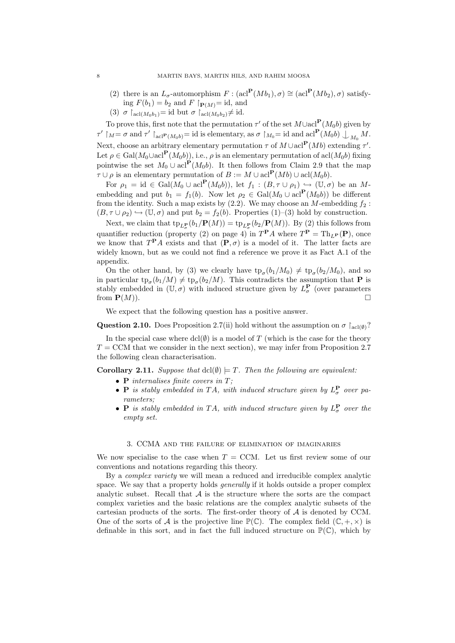- (2) there is an  $L_{\sigma}$ -automorphism  $F : (\text{acl}^{\mathbf{P}}(Mb_1), \sigma) \cong (\text{acl}^{\mathbf{P}}(Mb_2), \sigma)$  satisfying  $F(b_1) = b_2$  and  $F \upharpoonright_{\mathbf{P}(M)} = id$ , and
- (3)  $\sigma \upharpoonright_{\text{acl}(M_0b_1)} = \text{id}$  but  $\sigma \upharpoonright_{\text{acl}(M_0b_2)} \neq \text{id}.$

To prove this, first note that the permutation  $\tau'$  of the set  $M \cup \text{acl}^{\mathbf{P}}(M_0b)$  given by  $\tau' \restriction_M = \sigma$  and  $\tau' \restriction_{\text{acl}^{\mathbf{P}}(M_0b)} = \text{id}$  is elementary, as  $\sigma \restriction_{M_0} = \text{id}$  and  $\text{acl}^{\mathbf{P}}(M_0b) \bigcup_{M_0} M$ . Next, choose an arbitrary elementary permutation  $\tau$  of  $M \cup \text{acl}^{\mathbf{P}}(Mb)$  extending  $\tau'$ . Let  $\rho \in \text{Gal}(M_0 \cup \text{acl}^{\mathbf{P}}(M_0 b))$ , i.e.,  $\rho$  is an elementary permutation of acl $(M_0 b)$  fixing pointwise the set  $M_0 \cup \text{acl}^{\mathbf{P}}(M_0 b)$ . It then follows from Claim 2.9 that the map  $\tau \cup \rho$  is an elementary permutation of  $B := M \cup \text{acl}^{\mathbf{P}}(Mb) \cup \text{acl}(M_0b)$ .

For  $\rho_1 = \text{id} \in \text{Gal}(M_0 \cup \text{acl}^{\mathbf{P}}(M_0 b)),$  let  $f_1 : (B, \tau \cup \rho_1) \hookrightarrow (\mathbb{U}, \sigma)$  be an Membedding and put  $b_1 = f_1(b)$ . Now let  $\rho_2 \in \text{Gal}(M_0 \cup \text{acl}^{\mathbf{P}}(M_0b))$  be different from the identity. Such a map exists by  $(2.2)$ . We may choose an M-embedding  $f_2$ :  $(B, \tau \cup \rho_2) \hookrightarrow (\mathbb{U}, \sigma)$  and put  $b_2 = f_2(b)$ . Properties  $(1)$ –(3) hold by construction.

Next, we claim that  $\text{tp}_{L^{\mathbf{P}}_{\pi}}(b_1/\mathbf{P}(M)) = \text{tp}_{L^{\mathbf{P}}_{\pi}}(b_2/\mathbf{P}(M)).$  By (2) this follows from quantifier reduction (property (2) on page 4) in  $T^{\mathbf{P}}A$  where  $T^{\mathbf{P}} = \text{Th}_{L^{\mathbf{P}}}(\mathbf{P})$ , once we know that  $T^{\mathbf{P}}A$  exists and that  $(\mathbf{P}, \sigma)$  is a model of it. The latter facts are widely known, but as we could not find a reference we prove it as Fact A.1 of the appendix.

On the other hand, by (3) we clearly have  $tp_{\sigma}(b_1/M_0) \neq tp_{\sigma}(b_2/M_0)$ , and so in particular  $tp_{\sigma}(b_1/M) \neq tp_{\sigma}(b_2/M)$ . This contradicts the assumption that **P** is stably embedded in  $(\mathbb{U}, \sigma)$  with induced structure given by  $L^{\mathbf{P}}_{\sigma}$  (over parameters from  $\mathbf{P}(M)$ .

We expect that the following question has a positive answer.

**Question 2.10.** Does Proposition 2.7(ii) hold without the assumption on  $\sigma \upharpoonright_{\text{acl}(\emptyset)}$ ?

In the special case where  $\text{dcl}(\emptyset)$  is a model of T (which is the case for the theory  $T =$  CCM that we consider in the next section), we may infer from Proposition 2.7 the following clean characterisation.

**Corollary 2.11.** Suppose that  $dcl(\emptyset) \models T$ . Then the following are equivalent:

- **P** internalises finite covers in  $T$ ;
- **P** is stably embedded in TA, with induced structure given by  $L^{\mathbf{P}}_{\sigma}$  over parameters;
- **P** is stably embedded in TA, with induced structure given by  $L^{\mathbf{P}}_{\sigma}$  over the empty set.

#### 3. CCMA and the failure of elimination of imaginaries

We now specialise to the case when  $T = CCM$ . Let us first review some of our conventions and notations regarding this theory.

By a complex variety we will mean a reduced and irreducible complex analytic space. We say that a property holds *generally* if it holds outside a proper complex analytic subset. Recall that  $A$  is the structure where the sorts are the compact complex varieties and the basic relations are the complex analytic subsets of the cartesian products of the sorts. The first-order theory of  $A$  is denoted by CCM. One of the sorts of A is the projective line  $\mathbb{P}(\mathbb{C})$ . The complex field  $(\mathbb{C}, +, \times)$  is definable in this sort, and in fact the full induced structure on  $\mathbb{P}(\mathbb{C})$ , which by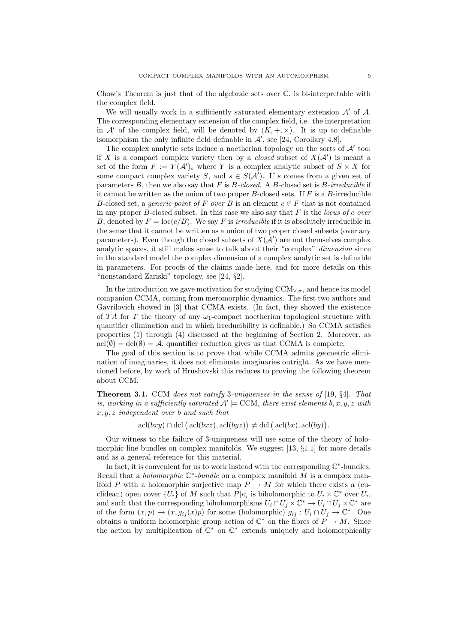Chow's Theorem is just that of the algebraic sets over  $\mathbb C$ , is bi-interpretable with the complex field.

We will usually work in a sufficiently saturated elementary extension  $A'$  of  $A$ . The corresponding elementary extension of the complex field, i.e. the interpretation in A' of the complex field, will be denoted by  $(K, +, \times)$ . It is up to definable isomorphism the only infinite field definable in  $\mathcal{A}'$ , see [24, Corollary 4.8].

The complex analytic sets induce a noetherian topology on the sorts of  $\mathcal{A}'$  too: if X is a compact complex variety then by a *closed* subset of  $X(\mathcal{A}')$  is meant a set of the form  $F := Y(\mathcal{A}')$ , where Y is a complex analytic subset of  $S \times X$  for some compact complex variety S, and  $s \in S(\mathcal{A}')$ . If s comes from a given set of parameters  $B$ , then we also say that  $F$  is  $B$ -closed. A  $B$ -closed set is  $B$ -irreducible if it cannot be written as the union of two proper  $B$ -closed sets. If  $F$  is a  $B$ -irreducible B-closed set, a *generic point of* F over B is an element  $c \in F$  that is not contained in any proper  $B$ -closed subset. In this case we also say that  $F$  is the locus of c over B, denoted by  $F = \text{loc}(c/B)$ . We say F is *irreducible* if it is absolutely irreducible in the sense that it cannot be written as a union of two proper closed subsets (over any parameters). Even though the closed subsets of  $X(\mathcal{A}')$  are not themselves complex analytic spaces, it still makes sense to talk about their "complex" dimension since in the standard model the complex dimension of a complex analytic set is definable in parameters. For proofs of the claims made here, and for more details on this "nonstandard Zariski" topology, see [24, §2].

In the introduction we gave motivation for studying  $CCM_{\forall,\sigma}$ , and hence its model companion CCMA, coming from meromorphic dynamics. The first two authors and Gavrilovich showed in [3] that CCMA exists. (In fact, they showed the existence of TA for T the theory of any  $\omega_1$ -compact noetherian topological structure with quantifier elimination and in which irreducibility is definable.) So CCMA satisfies properties (1) through (4) discussed at the beginning of Section 2. Moreover, as  $\text{acl}(\emptyset) = \text{dcl}(\emptyset) = \mathcal{A}$ , quantifier reduction gives us that CCMA is complete.

The goal of this section is to prove that while CCMA admits geometric elimination of imaginaries, it does not eliminate imaginaries outright. As we have mentioned before, by work of Hrushovski this reduces to proving the following theorem about CCM.

Theorem 3.1. CCM does not satisfy 3-uniqueness in the sense of [19, §4]. That is, working in a sufficiently saturated  $\mathcal{A}' \models \text{CCM}$ , there exist elements  $b, x, y, z$  with  $x, y, z$  independent over b and such that

 $\operatorname{acl}(bxy) \cap \operatorname{dcl}( \operatorname{acl}(bxz), \operatorname{acl}(byz) ) \neq \operatorname{dcl}( \operatorname{acl}(bx), \operatorname{acl}(by)).$ 

Our witness to the failure of 3-uniqueness will use some of the theory of holomorphic line bundles on complex manifolds. We suggest  $[13, §1.1]$  for more details and as a general reference for this material.

In fact, it is convenient for us to work instead with the corresponding  $\mathbb{C}^*$ -bundles. Recall that a *holomorphic*  $\mathbb{C}^*$ -bundle on a complex manifold M is a complex manifold P with a holomorphic surjective map  $P \to M$  for which there exists a (euclidean) open cover  $\{U_i\}$  of M such that  $P|_{U_i}$  is biholomorphic to  $U_i \times \mathbb{C}^*$  over  $U_i$ , and such that the corresponding biholomorphisms  $U_i \cap U_j \times \mathbb{C}^* \to U_i \cap U_j \times \mathbb{C}^*$  are of the form  $(x, p) \mapsto (x, g_{ij}(x)p)$  for some (holomorphic)  $g_{ij} : U_i \cap U_j \to \mathbb{C}^*$ . One obtains a uniform holomorphic group action of  $\mathbb{C}^*$  on the fibres of  $P \to M$ . Since the action by multiplication of  $\mathbb{C}^*$  on  $\mathbb{C}^*$  extends uniquely and holomorphically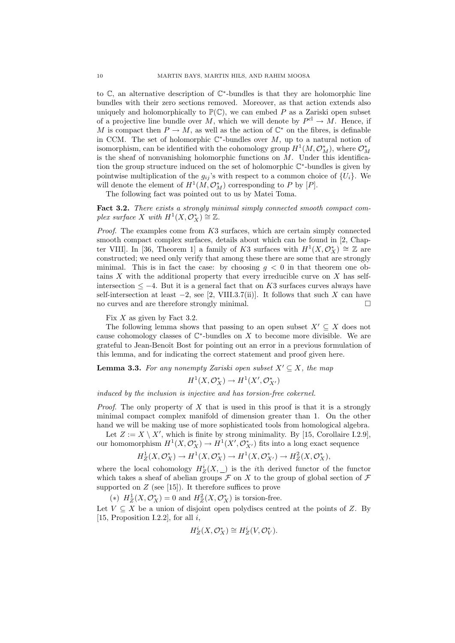to  $\mathbb{C}$ , an alternative description of  $\mathbb{C}^*$ -bundles is that they are holomorphic line bundles with their zero sections removed. Moreover, as that action extends also uniquely and holomorphically to  $\mathbb{P}(\mathbb{C})$ , we can embed P as a Zariski open subset of a projective line bundle over M, which we will denote by  $P^{\text{cl}} \to M$ . Hence, if M is compact then  $P \to M$ , as well as the action of  $\mathbb{C}^*$  on the fibres, is definable in CCM. The set of holomorphic  $\mathbb{C}^*$ -bundles over M, up to a natural notion of isomorphism, can be identified with the cohomology group  $H^1(M, \mathcal{O}_M^*)$ , where  $\mathcal{O}_M^*$ is the sheaf of nonvanishing holomorphic functions on  $M$ . Under this identification the group structure induced on the set of holomorphic  $\mathbb{C}^*$ -bundles is given by pointwise multiplication of the  $g_{ij}$ 's with respect to a common choice of  $\{U_i\}$ . We will denote the element of  $H^1(M, \mathcal{O}_M^*)$  corresponding to P by  $[P]$ .

The following fact was pointed out to us by Matei Toma.

Fact 3.2. There exists a strongly minimal simply connected smooth compact complex surface X with  $H^1(X, \mathcal{O}_X^*) \cong \mathbb{Z}$ .

Proof. The examples come from K3 surfaces, which are certain simply connected smooth compact complex surfaces, details about which can be found in [2, Chapter VIII]. In [36, Theorem 1] a family of K3 surfaces with  $H^1(X, \mathcal{O}_X^*) \cong \mathbb{Z}$  are constructed; we need only verify that among these there are some that are strongly minimal. This is in fact the case: by choosing  $q < 0$  in that theorem one obtains  $X$  with the additional property that every irreducible curve on  $X$  has selfintersection  $\leq -4$ . But it is a general fact that on K3 surfaces curves always have self-intersection at least  $-2$ , see [2, VIII.3.7(ii)]. It follows that such X can have no curves and are therefore strongly minimal.

Fix  $X$  as given by Fact 3.2.

The following lemma shows that passing to an open subset  $X' \subseteq X$  does not cause cohomology classes of  $\mathbb{C}^*$ -bundles on X to become more divisible. We are grateful to Jean-Benoît Bost for pointing out an error in a previous formulation of this lemma, and for indicating the correct statement and proof given here.

**Lemma 3.3.** For any nonempty Zariski open subset  $X' \subseteq X$ , the map

$$
H^1(X, \mathcal{O}_X^*) \to H^1(X', \mathcal{O}_{X'}^*)
$$

induced by the inclusion is injective and has torsion-free cokernel.

*Proof.* The only property of X that is used in this proof is that it is a strongly minimal compact complex manifold of dimension greater than 1. On the other hand we will be making use of more sophisticated tools from homological algebra.

Let  $Z := X \setminus X'$ , which is finite by strong minimality. By [15, Corollaire I.2.9], our homomorphism  $H^1(X, \mathcal{O}_X^*) \to H^1(X', \mathcal{O}_{X'}^*)$  fits into a long exact sequence

$$
H_Z^1(X, \mathcal{O}_X^*) \to H^1(X, \mathcal{O}_X^*) \to H^1(X, \mathcal{O}_{X'}^*) \to H_Z^2(X, \mathcal{O}_X^*),
$$

where the local cohomology  $H_Z^i(X, \_)$  is the *i*th derived functor of the functor which takes a sheaf of abelian groups  $\mathcal F$  on X to the group of global section of  $\mathcal F$ supported on  $Z$  (see [15]). It therefore suffices to prove

(\*)  $H_Z^1(X, \mathcal{O}_X^*) = 0$  and  $H_Z^2(X, \mathcal{O}_X^*)$  is torsion-free.

Let  $V \subseteq X$  be a union of disjoint open polydiscs centred at the points of Z. By [15, Proposition I.2.2], for all  $i$ ,

$$
H_Z^i(X, \mathcal{O}_X^*) \cong H_Z^i(V, \mathcal{O}_V^*).
$$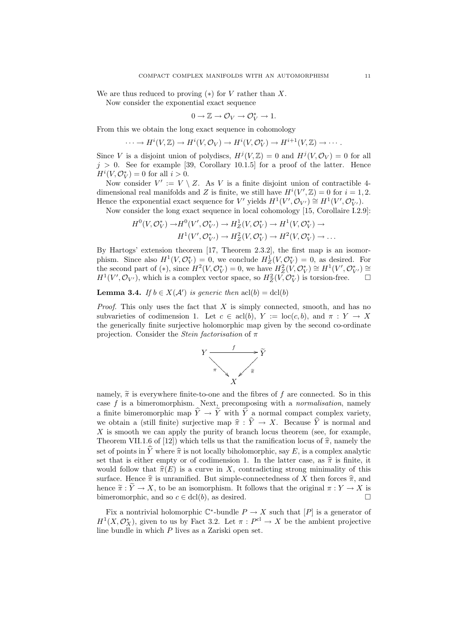We are thus reduced to proving  $(*)$  for V rather than X.

Now consider the exponential exact sequence

$$
0 \to \mathbb{Z} \to \mathcal{O}_V \to \mathcal{O}_V^* \to 1.
$$

From this we obtain the long exact sequence in cohomology

$$
\cdots \to H^{i}(V, \mathbb{Z}) \to H^{i}(V, \mathcal{O}_{V}) \to H^{i}(V, \mathcal{O}_{V}^{*}) \to H^{i+1}(V, \mathbb{Z}) \to \cdots.
$$

Since V is a disjoint union of polydiscs,  $H^j(V, \mathbb{Z}) = 0$  and  $H^j(V, \mathcal{O}_V) = 0$  for all  $j > 0$ . See for example [39, Corollary 10.1.5] for a proof of the latter. Hence  $H^i(V, \mathcal{O}_V^*) = 0$  for all  $i > 0$ .

Now consider  $V' := V \setminus Z$ . As V is a finite disjoint union of contractible 4dimensional real manifolds and Z is finite, we still have  $H^{i}(V',\mathbb{Z})=0$  for  $i=1,2$ . Hence the exponential exact sequence for V' yields  $H^1(V', \mathcal{O}_{V'}) \cong H^1(V', \mathcal{O}_{V'}^*)$ .

Now consider the long exact sequence in local cohomology [15, Corollaire I.2.9]:

$$
H^0(V, \mathcal{O}_V^*) \to H^0(V', \mathcal{O}_{V'}^*) \to H^1_Z(V, \mathcal{O}_V^*) \to H^1(V, \mathcal{O}_V^*) \to H^1(V', \mathcal{O}_{V'}^*) \to H^2_Z(V, \mathcal{O}_V^*) \to H^2(V, \mathcal{O}_V^*) \to \dots
$$

By Hartogs' extension theorem [17, Theorem 2.3.2], the first map is an isomorphism. Since also  $H^1(V, \mathcal{O}_V^*) = 0$ , we conclude  $H^1_Z(V, \mathcal{O}_V^*) = 0$ , as desired. For the second part of (\*), since  $H^2(V, \mathcal{O}_V^*) = 0$ , we have  $H_Z^2(V, \mathcal{O}_V^*) \cong H^1(V', \mathcal{O}_{V'}^*) \cong$  $H^1(V', \mathcal{O}_{V'})$ , which is a complex vector space, so  $H_Z^2(\tilde{V}, \mathcal{O}_V^*)$  is torsion-free.

**Lemma 3.4.** If  $b \in X(\mathcal{A}')$  is generic then  $\text{acl}(b) = \text{dcl}(b)$ 

*Proof.* This only uses the fact that X is simply connected, smooth, and has no subvarieties of codimension 1. Let  $c \in \text{acl}(b)$ ,  $Y := \text{loc}(c, b)$ , and  $\pi : Y \to X$ the generically finite surjective holomorphic map given by the second co-ordinate projection. Consider the *Stein factorisation* of  $\pi$ 



namely,  $\tilde{\pi}$  is everywhere finite-to-one and the fibres of f are connected. So in this case  $f$  is a bimeromorphism. Next, precomposing with a *normalisation*, namely a finite bimeromorphic map  $\hat{Y} \rightarrow \tilde{Y}$  with  $\hat{Y}$  a normal compact complex variety, we obtain a (still finite) surjective map  $\hat{\pi} : \hat{Y} \to X$ . Because  $\hat{Y}$  is normal and  $X$  is smooth we can apply the purity of branch locus theorem (see, for example, Theorem VII.1.6 of [12]) which tells us that the ramification locus of  $\hat{\pi}$ , namely the set of points in  $\hat{Y}$  where  $\hat{\pi}$  is not locally biholomorphic, say E, is a complex analytic set that is either empty or of codimension 1. In the latter case, as  $\hat{\pi}$  is finite, it would follow that  $\hat{\pi}(E)$  is a curve in X, contradicting strong minimality of this surface. Hence  $\hat{\pi}$  is unramified. But simple-connectedness of X then forces  $\hat{\pi}$ , and hence  $\tilde{\pi}: \tilde{Y} \to X$ , to be an isomorphism. It follows that the original  $\pi: Y \to X$  is bimeromorphic, and so  $c \in \text{dcl}(b)$ , as desired. bimeromorphic, and so  $c \in \text{dcl}(b)$ , as desired.

Fix a nontrivial holomorphic  $\mathbb{C}^*$ -bundle  $P \to X$  such that  $[P]$  is a generator of  $H^1(X, \mathcal{O}_X^*)$ , given to us by Fact 3.2. Let  $\pi : P^{\text{cl}} \to X$  be the ambient projective line bundle in which P lives as a Zariski open set.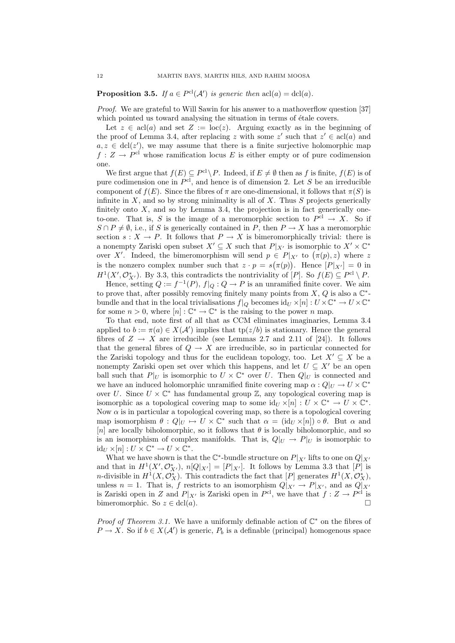**Proposition 3.5.** If  $a \in P^{cl}(A')$  is generic then  $acl(a) = \text{dcl}(a)$ .

Proof. We are grateful to Will Sawin for his answer to a mathoverflow question [37] which pointed us toward analysing the situation in terms of étale covers.

Let  $z \in \text{acl}(a)$  and set  $Z := \text{loc}(z)$ . Arguing exactly as in the beginning of the proof of Lemma 3.4, after replacing z with some z' such that  $z' \in \text{acl}(a)$  and  $a, z \in \text{dcl}(z')$ , we may assume that there is a finite surjective holomorphic map  $f: Z \to P<sup>cl</sup>$  whose ramification locus E is either empty or of pure codimension one.

We first argue that  $f(E) \subseteq P^{\text{cl}} \backslash P$ . Indeed, if  $E \neq \emptyset$  then as f is finite,  $f(E)$  is of pure codimension one in  $P^{cl}$ , and hence is of dimension 2. Let S be an irreducible component of  $f(E)$ . Since the fibres of  $\pi$  are one-dimensional, it follows that  $\pi(S)$  is infinite in  $X$ , and so by strong minimality is all of  $X$ . Thus  $S$  projects generically finitely onto  $X$ , and so by Lemma 3.4, the projection is in fact generically oneto-one. That is, S is the image of a meromorphic section to  $P<sup>cl</sup> \to X$ . So if  $S \cap P \neq \emptyset$ , i.e., if S is generically contained in P, then  $P \to X$  has a meromorphic section  $s: X \to P$ . It follows that  $P \to X$  is bimeromorphically trivial: there is a nonempty Zariski open subset  $X' \subseteq X$  such that  $P|_{X'}$  is isomorphic to  $X' \times \mathbb{C}^*$ over X'. Indeed, the bimeromorphism will send  $p \in P|_{X}$  to  $(\pi(p), z)$  where z is the nonzero complex number such that  $z \cdot p = s(\pi(p))$ . Hence  $[P]_{X'}] = 0$  in  $H^1(X', \mathcal{O}_{X'}^*)$ . By 3.3, this contradicts the nontriviality of  $[P]$ . So  $f(E) \subseteq P^{\text{cl}} \setminus P$ .

Hence, setting  $Q := f^{-1}(P)$ ,  $f|_Q : Q \to P$  is an unramified finite cover. We aim to prove that, after possibly removing finitely many points from X, Q is also a  $\mathbb{C}^*$ bundle and that in the local trivialisations  $f|_Q$  becomes  $\mathrm{id}_U \times [n] : U \times \mathbb{C}^* \to U \times \mathbb{C}^*$ for some  $n > 0$ , where  $[n] : \mathbb{C}^* \to \mathbb{C}^*$  is the raising to the power n map.

To that end, note first of all that as CCM eliminates imaginaries, Lemma 3.4 applied to  $b := \pi(a) \in X(\mathcal{A}')$  implies that  $tp(z/b)$  is stationary. Hence the general fibres of  $Z \to X$  are irreducible (see Lemmas 2.7 and 2.11 of [24]). It follows that the general fibres of  $Q \to X$  are irreducible, so in particular connected for the Zariski topology and thus for the euclidean topology, too. Let  $X' \subseteq X$  be a nonempty Zariski open set over which this happens, and let  $U \subseteq X'$  be an open ball such that  $P|_U$  is isomorphic to  $U \times \mathbb{C}^*$  over U. Then  $Q|_U$  is connected and we have an induced holomorphic unramified finite covering map  $\alpha: Q|_U \to U \times \mathbb{C}^*$ over U. Since  $U \times \mathbb{C}^*$  has fundamental group  $\mathbb{Z}$ , any topological covering map is isomorphic as a topological covering map to some  $\mathrm{id}_U \times [n] : U \times \mathbb{C}^* \to U \times \mathbb{C}^*$ . Now  $\alpha$  is in particular a topological covering map, so there is a topological covering map isomorphism  $\theta: Q|_U \mapsto U \times \mathbb{C}^*$  such that  $\alpha = (\text{id}_U \times [n]) \circ \theta$ . But  $\alpha$  and [n] are locally biholomorphic, so it follows that  $\theta$  is locally biholomorphic, and so is an isomorphism of complex manifolds. That is,  $Q|_U \rightarrow P|_U$  is isomorphic to  $\mathrm{id}_U \times [n] : U \times \mathbb{C}^* \to U \times \mathbb{C}^*.$ 

What we have shown is that the  $\mathbb{C}^*$ -bundle structure on  $P|_{X'}$  lifts to one on  $Q|_{X'}$ and that in  $H^1(X', \mathcal{O}_{X'}^*)$ ,  $n[Q|_{X'}] = [P|_{X'}]$ . It follows by Lemma 3.3 that  $[P]$  is *n*-divisible in  $H^1(X, \mathcal{O}_X^*)$ . This contradicts the fact that  $[P]$  generates  $H^1(X, \mathcal{O}_X^*)$ , unless  $n = 1$ . That is, f restricts to an isomorphism  $Q|_{X'} \to P|_{X'}$ , and as  $Q|_{X'}$ is Zariski open in Z and  $P|_{X'}$  is Zariski open in  $P^{\text{cl}}$ , we have that  $f: Z \to P^{\text{cl}}$  is bimeromorphic. So  $z \in \text{dcl}(a)$ .

*Proof of Theorem 3.1.* We have a uniformly definable action of  $\mathbb{C}^*$  on the fibres of  $P \to X$ . So if  $b \in X(\mathcal{A}')$  is generic,  $P_b$  is a definable (principal) homogenous space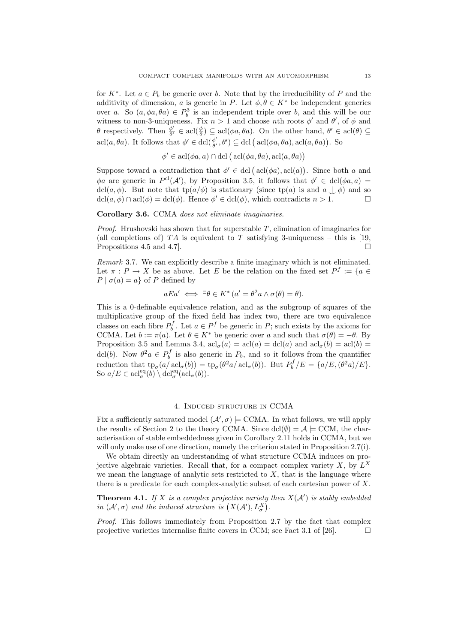for  $K^*$ . Let  $a \in P_b$  be generic over b. Note that by the irreducibility of P and the additivity of dimension, a is generic in P. Let  $\phi, \theta \in K^*$  be independent generics over a. So  $(a, \phi a, \theta a) \in P_b^3$  is an independent triple over b, and this will be our witness to non-3-uniqueness. Fix  $n > 1$  and choose *n*th roots  $\phi'$  and  $\theta'$ , of  $\phi$  and  $\theta$  respectively. Then  $\phi'$  $\frac{\phi'}{\theta'} \in \text{acl}(\frac{\phi}{\theta}) \subseteq \text{acl}(\phi a, \theta a)$ . On the other hand,  $\theta' \in \text{acl}(\theta) \subseteq$ acl $(a, \theta a)$ . It follows that  $\phi' \in \text{dcl}(\frac{\phi'}{\theta'}$  $\frac{\phi'}{\theta'}$ ,  $\theta'$ )  $\subseteq$  dcl (acl( $\phi$ a,  $\theta$ a), acl( $a$ ,  $\theta$ a)). So

$$
\phi' \in \operatorname{acl}(\phi a, a) \cap \operatorname{dcl}(\operatorname{acl}(\phi a, \theta a), \operatorname{acl}(a, \theta a))
$$

Suppose toward a contradiction that  $\phi' \in \text{dcl}(\text{acl}(\phi a), \text{acl}(a))$ . Since both a and  $\phi a$  are generic in  $P^{cl}(\mathcal{A}')$ , by Proposition 3.5, it follows that  $\phi' \in \text{dcl}(\phi a, a)$ dcl(a,  $\phi$ ). But note that tp(a/ $\phi$ ) is stationary (since tp(a) is and  $a \downarrow \phi$ ) and so dcl(a,  $\phi$ )  $\cap$  acl( $\phi$ ) = dcl( $\phi$ ). Hence  $\phi' \in$  dcl( $\phi$ ) which contradicts  $n > 1$  $\text{dcl}(a, \phi) \cap \text{acl}(\phi) = \text{dcl}(\phi)$ . Hence  $\phi' \in \text{dcl}(\phi)$ , which contradicts  $n > 1$ .

## Corollary 3.6. CCMA does not eliminate imaginaries.

*Proof.* Hrushovski has shown that for superstable  $T$ , elimination of imaginaries for (all completions of)  $TA$  is equivalent to T satisfying 3-uniqueness – this is [19, Propositions 4.5 and 4.7].

Remark 3.7. We can explicitly describe a finite imaginary which is not eliminated. Let  $\pi : P \to X$  be as above. Let E be the relation on the fixed set  $P^f := \{a \in$  $P | \sigma(a) = a$  of P defined by

$$
aEa' \iff \exists \theta \in K^* \ (a' = \theta^2 a \land \sigma(\theta) = \theta).
$$

This is a 0-definable equivalence relation, and as the subgroup of squares of the multiplicative group of the fixed field has index two, there are two equivalence classes on each fibre  $P_b^f$ . Let  $a \in P^f$  be generic in P; such exists by the axioms for CCMA. Let  $b := \pi(a)$ . Let  $\theta \in K^*$  be generic over a and such that  $\sigma(\theta) = -\theta$ . By Proposition 3.5 and Lemma 3.4,  $\text{acl}_\sigma(a) = \text{acl}(a) = \text{dcl}(a)$  and  $\text{acl}_\sigma(b) = \text{acl}(b)$ dcl(b). Now  $\theta^2 a \in P_b^f$  is also generic in  $P_b$ , and so it follows from the quantifier reduction that  $tp_{\sigma}(a/\operatorname{acl}_{\sigma}(b)) = tp_{\sigma}(\theta^2 a/\operatorname{acl}_{\sigma}(b)).$  But  $P_b^f/E = \{a/E, (\theta^2 a)/E\}.$ So  $a/E \in \operatorname{acl}_{\sigma}^{\operatorname{eq}}(b) \setminus \operatorname{dcl}_{\sigma}^{\operatorname{eq}}(\operatorname{acl}_{\sigma}(b)).$ 

## 4. Induced structure in CCMA

Fix a sufficiently saturated model  $(A', \sigma) \models \text{CCMA}$ . In what follows, we will apply the results of Section 2 to the theory CCMA. Since  $\text{dcl}(\emptyset) = \mathcal{A} \models \text{CCM}$ , the characterisation of stable embeddedness given in Corollary 2.11 holds in CCMA, but we will only make use of one direction, namely the criterion stated in Proposition 2.7(i).

We obtain directly an understanding of what structure CCMA induces on projective algebraic varieties. Recall that, for a compact complex variety  $X$ , by  $L^X$ we mean the language of analytic sets restricted to  $X$ , that is the language where there is a predicate for each complex-analytic subset of each cartesian power of X.

**Theorem 4.1.** If X is a complex projective variety then  $X(\mathcal{A}')$  is stably embedded in  $(\mathcal{A}', \sigma)$  and the induced structure is  $(X(\mathcal{A}'), L^X_{\sigma})$ .

Proof. This follows immediately from Proposition 2.7 by the fact that complex projective varieties internalise finite covers in CCM; see Fact 3.1 of [26].  $\Box$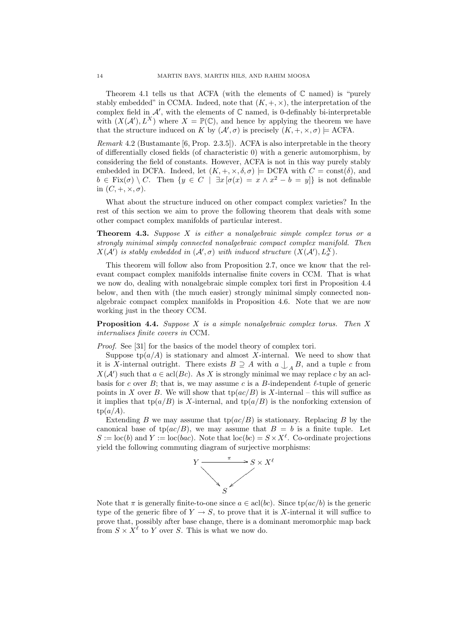Theorem 4.1 tells us that ACFA (with the elements of  $\mathbb C$  named) is "purely stably embedded" in CCMA. Indeed, note that  $(K, +, \times)$ , the interpretation of the complex field in  $\mathcal{A}'$ , with the elements of  $\mathbb C$  named, is 0-definably bi-interpretable with  $(X(\mathcal{A}'), L^X)$  where  $X = \mathbb{P}(\mathbb{C})$ , and hence by applying the theorem we have that the structure induced on K by  $(\mathcal{A}', \sigma)$  is precisely  $(K, +, \times, \sigma) \models$  ACFA.

Remark 4.2 (Bustamante [6, Prop. 2.3.5]). ACFA is also interpretable in the theory of differentially closed fields (of characteristic 0) with a generic automorphism, by considering the field of constants. However, ACFA is not in this way purely stably embedded in DCFA. Indeed, let  $(K, +, \times, \delta, \sigma) \models$  DCFA with  $C = \text{const}(\delta)$ , and  $b \in Fix(\sigma) \setminus C$ . Then  $\{y \in C \mid \exists x [\sigma(x) = x \land x^2 - b = y]\}$  is not definable in  $(C, +, \times, \sigma)$ .

What about the structure induced on other compact complex varieties? In the rest of this section we aim to prove the following theorem that deals with some other compact complex manifolds of particular interest.

**Theorem 4.3.** Suppose  $X$  is either a nonalgebraic simple complex torus or a strongly minimal simply connected nonalgebraic compact complex manifold. Then  $X(\mathcal{A}')$  is stably embedded in  $(\mathcal{A}', \sigma)$  with induced structure  $(X(\mathcal{A}'), L^X_{\sigma})$ .

This theorem will follow also from Proposition 2.7, once we know that the relevant compact complex manifolds internalise finite covers in CCM. That is what we now do, dealing with nonalgebraic simple complex tori first in Proposition 4.4 below, and then with (the much easier) strongly minimal simply connected nonalgebraic compact complex manifolds in Proposition 4.6. Note that we are now working just in the theory CCM.

**Proposition 4.4.** Suppose X is a simple nonalgebraic complex torus. Then X internalises finite covers in CCM.

Proof. See [31] for the basics of the model theory of complex tori.

Suppose  $tp(a/A)$  is stationary and almost X-internal. We need to show that it is X-internal outright. There exists  $B \supseteq A$  with  $a \bigcup_A B$ , and a tuple c from  $X(\mathcal{A}')$  such that  $a \in \text{acl}(Bc)$ . As X is strongly minimal we may replace c by an aclbasis for c over B; that is, we may assume c is a B-independent  $\ell$ -tuple of generic points in X over B. We will show that  $tp(ac/B)$  is X-internal – this will suffice as it implies that tp( $a/B$ ) is X-internal, and tp( $a/B$ ) is the nonforking extension of  $tp(a/A).$ 

Extending B we may assume that  $tp(ac/B)$  is stationary. Replacing B by the canonical base of tp( $ac/B$ ), we may assume that  $B = b$  is a finite tuple. Let  $S := \text{loc}(b)$  and  $Y := \text{loc}(bac)$ . Note that  $\text{loc}(bc) = S \times X^{\ell}$ . Co-ordinate projections yield the following commuting diagram of surjective morphisms:



Note that  $\pi$  is generally finite-to-one since  $a \in \text{acl}(bc)$ . Since  $\text{tp}(ac/b)$  is the generic type of the generic fibre of  $Y \to S$ , to prove that it is X-internal it will suffice to prove that, possibly after base change, there is a dominant meromorphic map back from  $S \times X^{\ell}$  to Y over S. This is what we now do.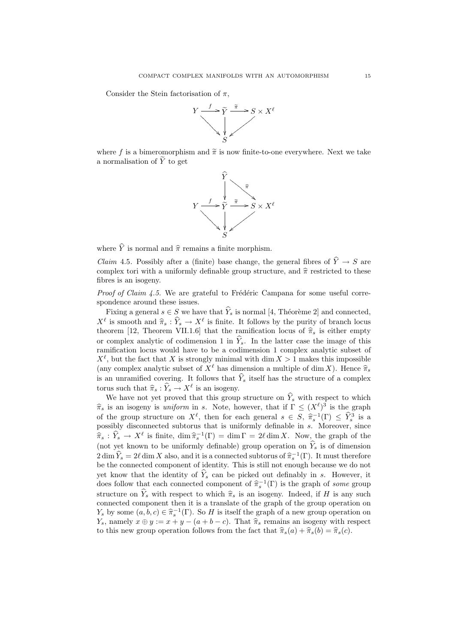Consider the Stein factorisation of  $\pi$ .



where f is a bimeromorphism and  $\tilde{\pi}$  is now finite-to-one everywhere. Next we take a normalisation of  $\widetilde{Y}$  to get



where  $\hat{Y}$  is normal and  $\hat{\pi}$  remains a finite morphism.

*Claim* 4.5. Possibly after a (finite) base change, the general fibres of  $\hat{Y} \rightarrow S$  are complex tori with a uniformly definable group structure, and  $\hat{\pi}$  restricted to these fibres is an isogeny.

*Proof of Claim 4.5.* We are grateful to Frédéric Campana for some useful correspondence around these issues.

Fixing a general  $s \in S$  we have that  $\widehat{Y}_s$  is normal [4, Théorème 2] and connected,  $X^{\ell}$  is smooth and  $\hat{\pi}_s : \hat{Y}_s \to X^{\ell}$  is finite. It follows by the purity of branch locus<br>theorem [12] Theorem VII 1 6] that the remification locus of  $\hat{\pi}$  is either empty theorem [12, Theorem VII.1.6] that the ramification locus of  $\hat{\pi}_s$  is either empty or complex analytic of codimension 1 in  $\hat{Y}_s$ . In the latter case the image of this ramification locus would have to be a codimension 1 complex analytic subset of  $X^{\ell}$ , but the fact that X is strongly minimal with dim  $X > 1$  makes this impossible (any complex analytic subset of  $X^{\ell}$  has dimension a multiple of dim X). Hence  $\hat{\pi}_s$ is an unramified covering. It follows that  $\hat{Y}_s$  itself has the structure of a complex torus such that  $\hat{\pi}_s : \hat{Y}_s \to X^\ell$  is an isogeny.<br>We have not yet proved that this group

We have not yet proved that this group structure on  $\widehat{Y}_s$  with respect to which  $\hat{\pi}_s$  is an isogeny is uniform in s. Note, however, that if  $\Gamma \leq (X^{\ell})^3$  is the graph of the graph of the group structure on  $X^{\ell}$ , then for each general  $s \in S$ ,  $\hat{\pi}_s^{-1}(\Gamma) \leq \hat{Y}_s^3$  is a normalised substant that is uniformly definable in  $s$ . Moreover, since possibly disconnected subtorus that is uniformly definable in s. Moreover, since  $\hat{\pi}_s : \hat{Y}_s \to X^\ell$  is finite,  $\dim \hat{\pi}_s^{-1}(\Gamma) = \dim \Gamma = 2\ell \dim X$ . Now, the graph of the  $\{n_s\}$  is a figure of the linear to be uniformly defined by graph of such that (not yet known to be uniformly definable) group operation on  $\hat{Y}_s$  is of dimension  $2 \dim \hat{Y}_s = 2\ell \dim X$  also, and it is a connected subtorus of  $\hat{\pi}_s^{-1}(\Gamma)$ . It must therefore be the connected component of identity. This is still not enough because we do not yet know that the identity of  $\hat{Y}_s$  can be picked out definably in s. However, it does follow that each connected component of  $\hat{\pi}_s^{-1}(\Gamma)$  is the graph of some group structure on  $\hat{Y}_s$  with respect to which  $\hat{\pi}_s$  is an isogeny. Indeed, if H is any such connected component then it is a translate of the graph of the group operation on  $Y_s$  by some  $(a, b, c) \in \hat{\pi}_s^{-1}(\Gamma)$ . So H is itself the graph of a new group operation on  $Y_s$  parally  $\pi \oplus u := x + u$   $(a + b - a)$ . That  $\hat{\pi}_s$  remains an isomew with respect Y<sub>s</sub>, namely  $x \oplus y := x + y - (a + b - c)$ . That  $\hat{\pi}_s$  remains an isogeny with respect to this new group operation follows from the fact that  $\hat{\pi}_s(a) + \hat{\pi}_s(b) = \hat{\pi}_s(c)$ .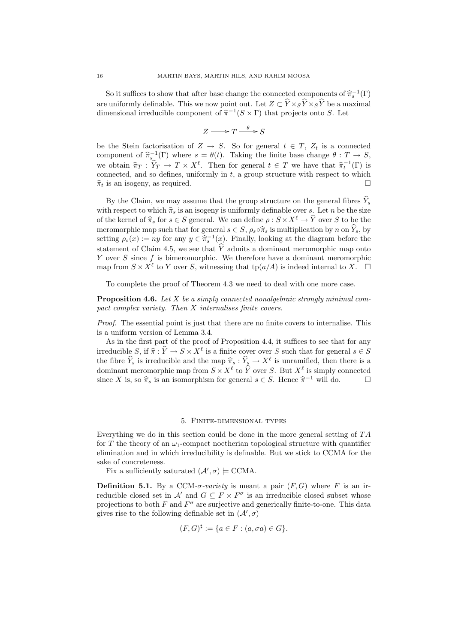So it suffices to show that after base change the connected components of  $\hat{\pi}_s^{-1}(\Gamma)$ are uniformly definable. This we now point out. Let  $Z \subset \widehat{Y} \times_S \widehat{Y} \times_S \widehat{Y}$  be a maximal dimensional irreducible component of  $\hat{\pi}^{-1}(S \times \Gamma)$  that projects onto S. Let

$$
Z \longrightarrow T \xrightarrow{\theta} S
$$

be the Stein factorisation of  $Z \to S$ . So for general  $t \in T$ ,  $Z_t$  is a connected component of  $\hat{\pi}_s^{-1}(\Gamma)$  where  $s = \theta(t)$ . Taking the finite base change  $\theta : T \to S$ , we obtain  $\hat{\pi}_T : \hat{Y}_T \to T \times X^\ell$ . Then for general  $t \in T$  we have that  $\hat{\pi}_t^{-1}(\Gamma)$  is<br>connected and so defines uniformly in t a group structure with respect to which connected, and so defines, uniformly in  $t$ , a group structure with respect to which  $\hat{\pi}_t$  is an isogeny, as required.

By the Claim, we may assume that the group structure on the general fibres  $\widehat{Y}_s$ with respect to which  $\hat{\pi}_s$  is an isogeny is uniformly definable over s. Let n be the size of the kernel of  $\hat{\pi}_s$  for  $s \in S$  general. We can define  $\rho : S \times X^{\ell} \to \hat{Y}$  over S to be the meromorphic map such that for general  $s \in S$ ,  $\rho_s \circ \hat{\pi}_s$  is multiplication by n on  $\hat{Y}_s$ , by setting  $\rho_s(x) := ny$  for any  $y \in \hat{\pi}_s^{-1}(x)$ . Finally, looking at the diagram before the statement of Claim 4.5, we see that  $\hat{Y}$  admits a dominant meromorphic map onto Y over  $S$  since  $f$  is bimeromorphic. We therefore have a dominant meromorphic map from  $S \times X^{\ell}$  to Y over S, witnessing that  $tp(a/A)$  is indeed internal to X.  $\square$ 

To complete the proof of Theorem 4.3 we need to deal with one more case.

**Proposition 4.6.** Let X be a simply connected nonalgebraic strongly minimal compact complex variety. Then X internalises finite covers.

Proof. The essential point is just that there are no finite covers to internalise. This is a uniform version of Lemma 3.4.

As in the first part of the proof of Proposition 4.4, it suffices to see that for any irreducible  $S$ , if  $\hat{\pi} : \hat{Y} \to S \times X^{\ell}$  is a finite cover over S such that for general  $s \in S$ <br>the fibre  $\hat{Y}$  is irreducible and the map  $\hat{\pi} : \hat{Y} \to X^{\ell}$  is unramified, then there is a the fibre  $\hat{Y}_s$  is irreducible and the map  $\hat{\pi}_s : \hat{Y}_s \to X^\ell$  is unramified, then there is a dominant manomorphic map from  $S \times Y^\ell$  to  $\hat{Y}$  cuan  $S$ . But  $Y^\ell$  is simply connected dominant meromorphic map from  $S \times X^{\ell}$  to  $\widehat{Y}$  over S. But  $X^{\ell}$  is simply connected since X is, so  $\hat{\pi}_s$  is an isomorphism for general  $s \in S$ . Hence  $\hat{\pi}^{-1}$  will do.  $\square$ 

#### 5. Finite-dimensional types

Everything we do in this section could be done in the more general setting of  $TA$ for T the theory of an  $\omega_1$ -compact noetherian topological structure with quantifier elimination and in which irreducibility is definable. But we stick to CCMA for the sake of concreteness.

Fix a sufficiently saturated  $(\mathcal{A}', \sigma) \models \text{CCMA}.$ 

**Definition 5.1.** By a CCM- $\sigma$ -variety is meant a pair  $(F, G)$  where F is an irreducible closed set in  $\mathcal{A}'$  and  $G \subseteq F \times F^{\sigma}$  is an irreducible closed subset whose projections to both  $F$  and  $F^{\sigma}$  are surjective and generically finite-to-one. This data gives rise to the following definable set in  $(\mathcal{A}', \sigma)$ 

$$
(F, G)^{\sharp} := \{ a \in F : (a, \sigma a) \in G \}.
$$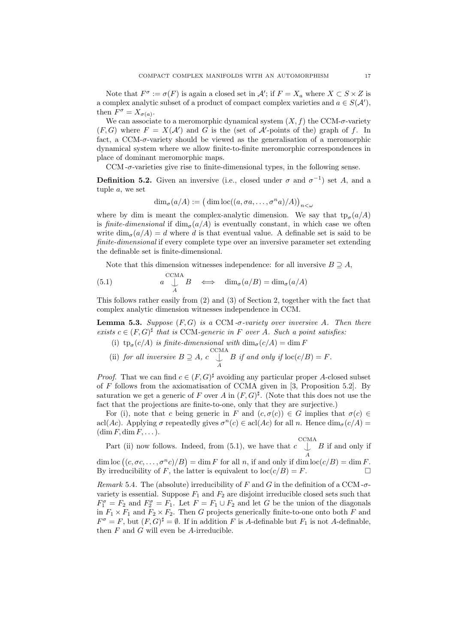Note that  $F^{\sigma} := \sigma(F)$  is again a closed set in  $\mathcal{A}'$ ; if  $F = X_a$  where  $X \subset S \times Z$  is a complex analytic subset of a product of compact complex varieties and  $a \in S(\mathcal{A}'),$ then  $F^{\sigma} = X_{\sigma(a)}$ .

We can associate to a meromorphic dynamical system  $(X, f)$  the CCM- $\sigma$ -variety  $(F, G)$  where  $F = X(\mathcal{A}')$  and G is the (set of  $\mathcal{A}'$ -points of the) graph of f. In fact, a  $CCM$ - $\sigma$ -variety should be viewed as the generalisation of a meromorphic dynamical system where we allow finite-to-finite meromorphic correspondences in place of dominant meromorphic maps.

CCM  $-\sigma$ -varieties give rise to finite-dimensional types, in the following sense.

**Definition 5.2.** Given an inversive (i.e., closed under  $\sigma$  and  $\sigma^{-1}$ ) set A, and a tuple a, we set

$$
\dim_{\sigma}(a/A) := (\dim \text{loc}((a, \sigma a, \dots, \sigma^n a)/A))_{n < \omega}
$$

where by dim is meant the complex-analytic dimension. We say that  $tp_{\sigma}(a/A)$ is finite-dimensional if  $\dim_{\sigma}(a/A)$  is eventually constant, in which case we often write  $\dim_{\sigma}(a/A) = d$  where d is that eventual value. A definable set is said to be finite-dimensional if every complete type over an inversive parameter set extending the definable set is finite-dimensional.

Note that this dimension witnesses independence: for all inversive  $B \supseteq A$ ,

(5.1) 
$$
a \bigcup_{A}^{CCMA} B \iff \dim_{\sigma}(a/B) = \dim_{\sigma}(a/A)
$$

This follows rather easily from (2) and (3) of Section 2, together with the fact that complex analytic dimension witnesses independence in CCM.

**Lemma 5.3.** Suppose  $(F, G)$  is a CCM- $\sigma$ -variety over inversive A. Then there exists  $c \in (F, G)^{\sharp}$  that is CCM-generic in F over A. Such a point satisfies:

- (i)  $tp_{\sigma}(c/A)$  is finite-dimensional with  $\dim_{\sigma}(c/A) = \dim F$
- (ii) for all inversive  $B \supseteq A$ ,  $c \bigcup_{A}^{CCMA}$ B if and only if  $\text{loc}(c/B) = F$ .

*Proof.* That we can find  $c \in (F, G)^{\sharp}$  avoiding any particular proper A-closed subset of  $F$  follows from the axiomatisation of CCMA given in [3, Proposition 5.2]. By saturation we get a generic of F over A in  $(F, G)^{\sharp}$ . (Note that this does not use the fact that the projections are finite-to-one, only that they are surjective.)

For (i), note that c being generic in F and  $(c, \sigma(c)) \in G$  implies that  $\sigma(c) \in G$ acl(Ac). Applying  $\sigma$  repeatedly gives  $\sigma^{n}(c) \in \text{acl}(Ac)$  for all n. Hence  $\dim_{\sigma}(c/A)$  $(\dim F, \dim F, \dots).$ 

Part (ii) now follows. Indeed, from (5.1), we have that  $c \bigcup_{A}^{CCMA}$ B if and only if  $\dim \text{loc} ((c, \sigma c, \ldots, \sigma^n c)/B) = \dim F$  for all n, if and only if  $\dim \text{loc}(c/B) = \dim F$ . By irreducibility of F, the latter is equivalent to  $\text{loc}(c/B) = F$ .

Remark 5.4. The (absolute) irreducibility of F and G in the definition of a CCM- $\sigma$ variety is essential. Suppose  $F_1$  and  $F_2$  are disjoint irreducible closed sets such that  $F_1^{\sigma} = F_2$  and  $F_2^{\sigma} = F_1$ . Let  $F = F_1 \cup F_2$  and let G be the union of the diagonals in  $F_1 \times F_1$  and  $F_2 \times F_2$ . Then G projects generically finite-to-one onto both F and  $F^{\sigma} = F$ , but  $(F, G)^{\sharp} = \emptyset$ . If in addition F is A-definable but  $F_1$  is not A-definable, then  $F$  and  $G$  will even be  $A$ -irreducible.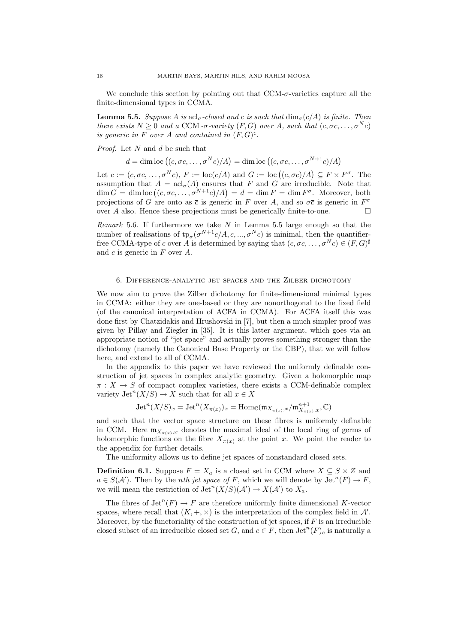We conclude this section by pointing out that  $CCM-\sigma$ -varieties capture all the finite-dimensional types in CCMA.

**Lemma 5.5.** Suppose A is acl<sub>σ</sub>-closed and c is such that  $\dim_{\sigma}(c/A)$  is finite. Then there exists  $N \geq 0$  and a CCM -σ-variety  $(F, G)$  over A, such that  $(c, \sigma c, \ldots, \sigma^N c)$ is generic in F over A and contained in  $(F, G)^{\sharp}$ .

*Proof.* Let  $N$  and  $d$  be such that

 $d = \dim \text{loc} ((c, \sigma c, \dots, \sigma^N c)/A) = \dim \text{loc} ((c, \sigma c, \dots, \sigma^{N+1} c)/A)$ 

Let  $\bar{c} := (c, \sigma c, \ldots, \sigma^N c), F := \text{loc}(\bar{c}/A)$  and  $G := \text{loc}((\bar{c}, \sigma \bar{c})/A) \subseteq F \times F^{\sigma}$ . The assumption that  $A = \operatorname{acl}_{\sigma}(A)$  ensures that F and G are irreducible. Note that  $\dim G = \dim \text{loc} ((c, \sigma c, \ldots, \sigma^{N+1} c)/A) = d = \dim F = \dim F^{\sigma}.$  Moreover, both projections of G are onto as  $\bar{c}$  is generic in F over A, and so  $\sigma\bar{c}$  is generic in  $F^{\sigma}$ over A also. Hence these projections must be generically finite-to-one.  $\Box$ 

Remark 5.6. If furthermore we take  $N$  in Lemma 5.5 large enough so that the number of realisations of  $tp_{\sigma}(\sigma^{N+1}c/A, c, ..., \sigma^N c)$  is minimal, then the quantifierfree CCMA-type of c over A is determined by saying that  $(c, \sigma c, \ldots, \sigma^N c) \in (F, G)^{\sharp}$ and  $c$  is generic in  $F$  over  $A$ .

## 6. Difference-analytic jet spaces and the Zilber dichotomy

We now aim to prove the Zilber dichotomy for finite-dimensional minimal types in CCMA: either they are one-based or they are nonorthogonal to the fixed field (of the canonical interpretation of ACFA in CCMA). For ACFA itself this was done first by Chatzidakis and Hrushovski in [7], but then a much simpler proof was given by Pillay and Ziegler in [35]. It is this latter argument, which goes via an appropriate notion of "jet space" and actually proves something stronger than the dichotomy (namely the Canonical Base Property or the CBP), that we will follow here, and extend to all of CCMA.

In the appendix to this paper we have reviewed the uniformly definable construction of jet spaces in complex analytic geometry. Given a holomorphic map  $\pi: X \to S$  of compact complex varieties, there exists a CCM-definable complex variety  $\mathrm{Jet}^n(X/S) \to X$  such that for all  $x \in X$ 

$$
\operatorname{Jet}^n(X/S)_x=\operatorname{Jet}^n(X_{\pi(x)})_x=\operatorname{Hom}_{\mathbb{C}}(\mathfrak{m}_{X_{\pi(x)},x}/\mathfrak{m}_{X_{\pi(x)},x}^{n+1},\mathbb{C})
$$

and such that the vector space structure on these fibres is uniformly definable in CCM. Here  $\mathfrak{m}_{X_{\pi(x)},x}$  denotes the maximal ideal of the local ring of germs of holomorphic functions on the fibre  $X_{\pi(x)}$  at the point x. We point the reader to the appendix for further details.

The uniformity allows us to define jet spaces of nonstandard closed sets.

**Definition 6.1.** Suppose  $F = X_a$  is a closed set in CCM where  $X \subseteq S \times Z$  and  $a \in S(\mathcal{A}')$ . Then by the *nth jet space of* F, which we will denote by  $\mathrm{Jet}^n(F) \to F$ , we will mean the restriction of  $\mathrm{Jet}^n(X/S)(\mathcal{A}') \to X(\mathcal{A}')$  to  $X_a$ .

The fibres of  $\mathrm{Jet}^n(F) \to F$  are therefore uniformly finite dimensional K-vector spaces, where recall that  $(K, +, \times)$  is the interpretation of the complex field in A'. Moreover, by the functoriality of the construction of jet spaces, if  $F$  is an irreducible closed subset of an irreducible closed set G, and  $c \in F$ , then  $\mathrm{Jet}^n(F)_c$  is naturally a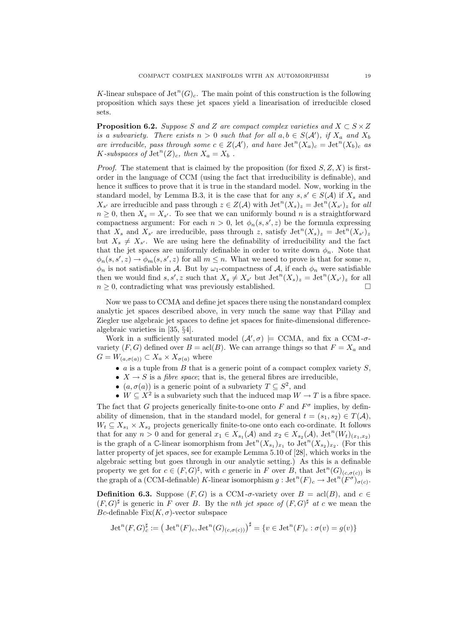K-linear subspace of  $\mathrm{Jet}^n(G)_c$ . The main point of this construction is the following proposition which says these jet spaces yield a linearisation of irreducible closed sets.

**Proposition 6.2.** Suppose S and Z are compact complex varieties and  $X \subset S \times Z$ is a subvariety. There exists  $n > 0$  such that for all  $a, b \in S(\mathcal{A}')$ , if  $X_a$  and  $X_b$ are irreducible, pass through some  $c \in Z(\mathcal{A}')$ , and have  $\mathrm{Jet}^n(X_a)_c = \mathrm{Jet}^n(X_b)_c$  as K-subspaces of  $\mathrm{Jet}^n(Z)_c$ , then  $X_a = X_b$ .

*Proof.* The statement that is claimed by the proposition (for fixed  $S, Z, X$ ) is firstorder in the language of CCM (using the fact that irreducibility is definable), and hence it suffices to prove that it is true in the standard model. Now, working in the standard model, by Lemma B.3, it is the case that for any  $s, s' \in S(\mathcal{A})$  if  $X_s$  and  $X_{s'}$  are irreducible and pass through  $z \in Z(\mathcal{A})$  with  $\mathrm{Jet}^n(X_s)_z = \mathrm{Jet}^n(X_{s'})_z$  for all  $n \geq 0$ , then  $X_s = X_{s'}$ . To see that we can uniformly bound n is a straightforward compactness argument: For each  $n > 0$ , let  $\phi_n(s, s', z)$  be the formula expressing that  $X_s$  and  $X_{s'}$  are irreducible, pass through z, satisfy  $\mathrm{Jet}^n(X_s)_z = \mathrm{Jet}^n(X_{s'})_z$ but  $X_s \neq X_{s'}$ . We are using here the definability of irreducibility and the fact that the jet spaces are uniformly definable in order to write down  $\phi_n$ . Note that  $\phi_n(s, s', z) \to \phi_m(s, s', z)$  for all  $m \leq n$ . What we need to prove is that for some n,  $\phi_n$  is not satisfiable in A. But by  $\omega_1$ -compactness of A, if each  $\phi_n$  were satisfiable then we would find  $s, s', z$  such that  $X_s \neq X_{s'}$  but  $\mathrm{Jet}^n(X_s)_z = \mathrm{Jet}^n(X_{s'})_z$  for all  $n \geq 0$ , contradicting what was previously established.

Now we pass to CCMA and define jet spaces there using the nonstandard complex analytic jet spaces described above, in very much the same way that Pillay and Ziegler use algebraic jet spaces to define jet spaces for finite-dimensional differencealgebraic varieties in [35, §4].

Work in a sufficiently saturated model  $(A', \sigma) \models$  CCMA, and fix a CCM- $\sigma$ variety  $(F, G)$  defined over  $B = \text{acl}(B)$ . We can arrange things so that  $F = X_a$  and  $G = W_{(a,\sigma(a))} \subset X_a \times X_{\sigma(a)}$  where

- $\alpha$  is a tuple from  $B$  that is a generic point of a compact complex variety  $S$ ,
- $X \rightarrow S$  is a *fibre space*; that is, the general fibres are irreducible,
- $(a, \sigma(a))$  is a generic point of a subvariety  $T \subseteq S^2$ , and
- $W \subseteq X^2$  is a subvariety such that the induced map  $W \to T$  is a fibre space. The fact that G projects generically finite-to-one onto F and  $F^{\sigma}$  implies, by definability of dimension, that in the standard model, for general  $t = (s_1, s_2) \in T(A)$ ,  $W_t \subseteq X_{s_1} \times X_{s_2}$  projects generically finite-to-one onto each co-ordinate. It follows that for any  $n > 0$  and for general  $x_1 \in X_{s_1}(\mathcal{A})$  and  $x_2 \in X_{s_2}(\mathcal{A})$ ,  $\mathrm{Jet}^n(W_t)_{(x_1,x_2)}$ is the graph of a C-linear isomorphism from  $\mathrm{Jet}^n(X_{s_1})_{x_1}$  to  $\mathrm{Jet}^n(X_{s_2})_{x_2}$ . (For this latter property of jet spaces, see for example Lemma 5.10 of [28], which works in the algebraic setting but goes through in our analytic setting.) As this is a definable property we get for  $c \in (F, G)^{\sharp}$ , with c generic in F over B, that  $\mathrm{Jet}^n(G)_{(c,\sigma(c))}$  is the graph of a (CCM-definable) K-linear isomorphism  $g: \text{Jet}^n(F)_c \to \text{Jet}^n(F^{\sigma})_{\sigma(c)}^{\sigma}.$

**Definition 6.3.** Suppose  $(F, G)$  is a CCM- $\sigma$ -variety over  $B = \text{acl}(B)$ , and  $c \in$  $(F, G)^{\sharp}$  is generic in F over B. By the *nth jet space of*  $(F, G)^{\sharp}$  at c we mean the Bc-definable  $Fix(K,\sigma)$ -vector subspace

$$
\operatorname{Jet}^n(F,G)^{\sharp}_{c} := \left(\operatorname{Jet}^n(F)_{c}, \operatorname{Jet}^n(G)_{(c,\sigma(c))}\right)^{\sharp} = \{v \in \operatorname{Jet}^n(F)_{c} : \sigma(v) = g(v)\}
$$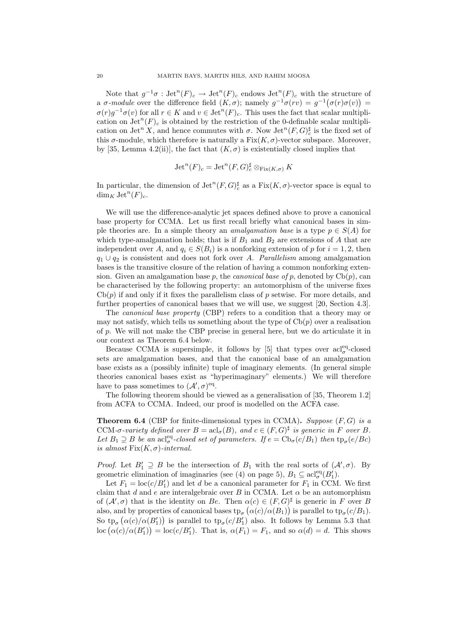Note that  $g^{-1}\sigma$ :  $\mathrm{Jet}^n(F)_c \to \mathrm{Jet}^n(F)_c$  endows  $\mathrm{Jet}^n(F)_c$  with the structure of a  $\sigma$ -module over the difference field  $(K, \sigma)$ ; namely  $g^{-1}\sigma(rv) = g^{-1}(\sigma(r)\sigma(v)) =$  $\sigma(r)g^{-1}\sigma(v)$  for all  $r \in K$  and  $v \in \text{Jet}^n(F)_c$ . This uses the fact that scalar multiplication on  $\mathrm{Jet}^n(F)_c$  is obtained by the restriction of the 0-definable scalar multiplication on Jet<sup>n</sup> X, and hence commutes with  $\sigma$ . Now Jet<sup>n</sup> $(F, G)_{c}^{\sharp}$  is the fixed set of this  $\sigma$ -module, which therefore is naturally a Fix $(K, \sigma)$ -vector subspace. Moreover, by [35, Lemma 4.2(ii)], the fact that  $(K, \sigma)$  is existentially closed implies that

$$
\operatorname{Jet}^n(F)_c = \operatorname{Jet}^n(F,G)_c^{\sharp} \otimes_{\operatorname{Fix}(K,\sigma)} K
$$

In particular, the dimension of  $\mathrm{Jet}^n(F,G)^{\sharp}_{c}$  as a  $\mathrm{Fix}(K,\sigma)$ -vector space is equal to  $\dim_K \text{Jet}^n(F)_c$ .

We will use the difference-analytic jet spaces defined above to prove a canonical base property for CCMA. Let us first recall briefly what canonical bases in simple theories are. In a simple theory an *amalgamation base* is a type  $p \in S(A)$  for which type-amalgamation holds; that is if  $B_1$  and  $B_2$  are extensions of A that are independent over A, and  $q_i \in S(B_i)$  is a nonforking extension of p for  $i = 1, 2$ , then  $q_1 \cup q_2$  is consistent and does not fork over A. Parallelism among amalgamation bases is the transitive closure of the relation of having a common nonforking extension. Given an amalgamation base p, the *canonical base of* p, denoted by  $Cb(p)$ , can be characterised by the following property: an automorphism of the universe fixes  $Cb(p)$  if and only if it fixes the parallelism class of p setwise. For more details, and further properties of canonical bases that we will use, we suggest [20, Section 4.3].

The canonical base property (CBP) refers to a condition that a theory may or may not satisfy, which tells us something about the type of  $\mathrm{Cb}(p)$  over a realisation of p. We will not make the CBP precise in general here, but we do articulate it in our context as Theorem 6.4 below.

Because CCMA is supersimple, it follows by [5] that types over  $\mathrm{acl}_{\sigma}^{\mathrm{eq}}$ -closed sets are amalgamation bases, and that the canonical base of an amalgamation base exists as a (possibly infinite) tuple of imaginary elements. (In general simple theories canonical bases exist as "hyperimaginary" elements.) We will therefore have to pass sometimes to  $(\mathcal{A}', \sigma)^{\text{eq}}$ .

The following theorem should be viewed as a generalisation of [35, Theorem 1.2] from ACFA to CCMA. Indeed, our proof is modelled on the ACFA case.

**Theorem 6.4** (CBP for finite-dimensional types in CCMA). Suppose  $(F, G)$  is a CCM- $\sigma$ -variety defined over  $B = \operatorname{acl}_{\sigma}(B)$ , and  $c \in (F, G)^{\sharp}$  is generic in F over B. Let  $B_1 \supseteq B$  be an acl<sup>eq</sup>-closed set of parameters. If  $e = \text{Cb}_\sigma(c/B_1)$  then  $\text{tp}_\sigma(e/Be)$ is almost  $Fix(K,\sigma)$ -internal.

*Proof.* Let  $B'_1 \supseteq B$  be the intersection of  $B_1$  with the real sorts of  $(A', \sigma)$ . By geometric elimination of imaginaries (see (4) on page 5),  $B_1 \subseteq \operatorname{acl}_{\sigma}^{\operatorname{eq}}(B_1')$ .

Let  $F_1 = \text{loc}(c/B'_1)$  and let d be a canonical parameter for  $F_1$  in CCM. We first claim that d and e are interalgebraic over B in CCMA. Let  $\alpha$  be an automorphism of  $(A', \sigma)$  that is the identity on Be. Then  $\alpha(c) \in (F, G)^{\sharp}$  is generic in F over B also, and by properties of canonical bases  $tp_{\sigma}(\alpha(c)/\alpha(B_1))$  is parallel to  $tp_{\sigma}(c/B_1)$ . So  $tp_{\sigma}(\alpha(c)/\alpha(B'_1))$  is parallel to  $tp_{\sigma}(c/B'_1)$  also. It follows by Lemma 5.3 that loc  $(\alpha(c)/\alpha(B'_1)) = \text{loc}(c/B'_1)$ . That is,  $\alpha(F_1) = F_1$ , and so  $\alpha(d) = d$ . This shows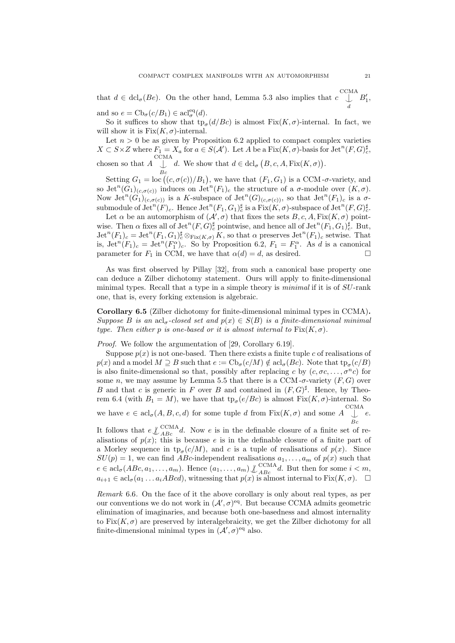that  $d \in \text{dcl}_{\sigma}(Be)$ . On the other hand, Lemma 5.3 also implies that  $c \left( \bigcup_{i=1}^{n} B'_{i} \right)$ , C<sub>CM</sub>A d and so  $e = \text{Cb}_{\sigma}(c/B_1) \in \text{acl}_{\sigma}^{\text{eq}}(d)$ .

So it suffices to show that  $\text{tp}_{\sigma}(d/BC)$  is almost  $\text{Fix}(K,\sigma)$ -internal. In fact, we will show it is  $Fix(K,\sigma)$ -internal.

Let  $n > 0$  be as given by Proposition 6.2 applied to compact complex varieties  $X \subset S \times Z$  where  $F_1 = X_a$  for  $a \in S(\mathcal{A}')$ . Let A be a  $Fix(K, \sigma)$ -basis for  $\mathrm{Jet}^n(F, G)_{c}^{\sharp}$ , chosen so that  $A \bigcup_{B_c}^{CCMA}$ d. We show that  $d \in \text{dcl}_{\sigma} (B, c, A, \text{Fix}(K, \sigma)).$ 

Setting  $G_1 = \text{loc} ((c, \sigma(c))/B_1)$ , we have that  $(F_1, G_1)$  is a CCM- $\sigma$ -variety, and so Jet<sup>n</sup> $(G_1)_{(c,\sigma(c))}$  induces on Jet<sup>n</sup> $(F_1)_c$  the structure of a  $\sigma$ -module over  $(K,\sigma)$ . Now  $\operatorname{Jet}^n(G_1)_{(c,\sigma(c))}$  is a K-subspace of  $\operatorname{Jet}^n(G)_{(c,\sigma(c))}$ , so that  $\operatorname{Jet}^n(F_1)_c$  is a  $\sigma$ - $\text{submodule of } \mathrm{Jet}^n(F)_c. \text{ Hence } \mathrm{Jet}^n(F_1,G_1)_c^{\sharp} \text{ is a } \mathrm{Fix}(K,\sigma)\text{-subspace of } \mathrm{Jet}^n(F,G)_c^{\sharp}.$ 

Let  $\alpha$  be an automorphism of  $(\mathcal{A}', \sigma)$  that fixes the sets  $B, c, A$ , Fix $(K, \sigma)$  pointwise. Then  $\alpha$  fixes all of  $\mathrm{Jet}^n(F,G)_{c}^{\sharp}$  pointwise, and hence all of  $\mathrm{Jet}^n(F_1,G_1)_{c}^{\sharp}$ . But,  $\mathrm{Jet}^n(F_1)_c = \mathrm{Jet}^n(F_1, G_1)_c^{\sharp} \otimes_{\mathrm{Fix}(K,\sigma)} K$ , so that  $\alpha$  preserves  $\mathrm{Jet}^n(F_1)_c$  setwise. That is,  $\mathrm{Jet}^n(F_1)_c = \mathrm{Jet}^n(F_1^{\alpha})_c$ . So by Proposition 6.2,  $F_1 = F_1^{\alpha}$ . As d is a canonical parameter for  $F_1$  in CCM, we have that  $\alpha(d) = d$ , as desired.

As was first observed by Pillay [32], from such a canonical base property one can deduce a Zilber dichotomy statement. Ours will apply to finite-dimensional minimal types. Recall that a type in a simple theory is minimal if it is of SU-rank one, that is, every forking extension is algebraic.

Corollary 6.5 (Zilber dichotomy for finite-dimensional minimal types in CCMA). Suppose B is an  $\text{acl}_{\sigma}$ -closed set and  $p(x) \in S(B)$  is a finite-dimensional minimal type. Then either p is one-based or it is almost internal to  $Fix(K,\sigma)$ .

Proof. We follow the argumentation of [29, Corollary 6.19].

Suppose  $p(x)$  is not one-based. Then there exists a finite tuple c of realisations of  $p(x)$  and a model  $M \supseteq B$  such that  $e := \text{Cb}_{\sigma}(c/M) \notin \text{acl}_{\sigma}(Bc)$ . Note that  $\text{tp}_{\sigma}(c/B)$ is also finite-dimensional so that, possibly after replacing c by  $(c, \sigma c, \ldots, \sigma^n c)$  for some n, we may assume by Lemma 5.5 that there is a CCM- $\sigma$ -variety (F, G) over B and that c is generic in F over B and contained in  $(F, G)^{\sharp}$ . Hence, by Theorem 6.4 (with  $B_1 = M$ ), we have that  $\text{tp}_{\sigma}(e/Bc)$  is almost  $\text{Fix}(K, \sigma)$ -internal. So we have  $e \in \text{acl}_{\sigma}(A, B, c, d)$  for some tuple d from  $Fix(K, \sigma)$  and some A CCMA  $\perp$  e. Bc

It follows that  $e\int_{ABC}^{\text{CCMA}} d$ . Now e is in the definable closure of a finite set of realisations of  $p(x)$ ; this is because e is in the definable closure of a finite part of a Morley sequence in  $tp_{\sigma}(c/M)$ , and c is a tuple of realisations of  $p(x)$ . Since  $SU(p) = 1$ , we can find ABc-independent realisations  $a_1, \ldots, a_m$  of  $p(x)$  such that  $e \in \operatorname{acl}_{\sigma}(ABC, a_1, \ldots, a_m)$ . Hence  $(a_1, \ldots, a_m) \downarrow_{ABC}^{CCMA}$ d. But then for some  $i < m$ ,  $a_{i+1} \in \text{acl}_{\sigma}(a_1 \ldots a_i \text{ } ABCd),$  witnessing that  $p(x)$  is almost internal to  $\text{Fix}(K, \sigma).$   $\Box$ 

Remark 6.6. On the face of it the above corollary is only about real types, as per our conventions we do not work in  $(\mathcal{A}', \sigma)^{eq}$ . But because CCMA admits geometric elimination of imaginaries, and because both one-basedness and almost internality to Fix $(K, \sigma)$  are preserved by interalgebraicity, we get the Zilber dichotomy for all finite-dimensional minimal types in  $(\mathcal{A}', \sigma)^{eq}$  also.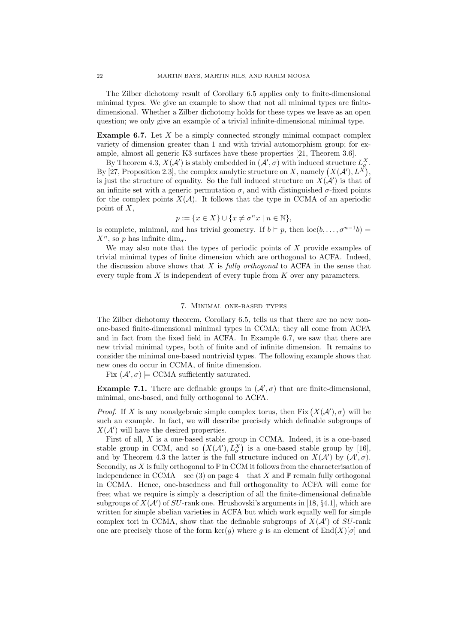The Zilber dichotomy result of Corollary 6.5 applies only to finite-dimensional minimal types. We give an example to show that not all minimal types are finitedimensional. Whether a Zilber dichotomy holds for these types we leave as an open question; we only give an example of a trivial infinite-dimensional minimal type.

**Example 6.7.** Let  $X$  be a simply connected strongly minimal compact complex variety of dimension greater than 1 and with trivial automorphism group; for example, almost all generic K3 surfaces have these properties [21, Theorem 3.6].

By Theorem 4.3,  $X(\mathcal{A}')$  is stably embedded in  $(\mathcal{A}', \sigma)$  with induced structure  $L^X_{\sigma}$ . By [27, Proposition 2.3], the complex analytic structure on X, namely  $(X(\mathcal{A}'), L^X)$ , is just the structure of equality. So the full induced structure on  $X(\mathcal{A}')$  is that of an infinite set with a generic permutation  $\sigma$ , and with distinguished  $\sigma$ -fixed points for the complex points  $X(A)$ . It follows that the type in CCMA of an aperiodic point of X,

$$
p := \{ x \in X \} \cup \{ x \neq \sigma^n x \mid n \in \mathbb{N} \},
$$

is complete, minimal, and has trivial geometry. If  $b \models p$ , then  $\text{loc}(b, \ldots, \sigma^{n-1}b)$  $X^n$ , so p has infinite dim<sub> $\sigma$ </sub>.

We may also note that the types of periodic points of  $X$  provide examples of trivial minimal types of finite dimension which are orthogonal to ACFA. Indeed, the discussion above shows that  $X$  is *fully orthogonal* to ACFA in the sense that every tuple from  $X$  is independent of every tuple from  $K$  over any parameters.

## 7. Minimal one-based types

The Zilber dichotomy theorem, Corollary 6.5, tells us that there are no new nonone-based finite-dimensional minimal types in CCMA; they all come from ACFA and in fact from the fixed field in ACFA. In Example 6.7, we saw that there are new trivial minimal types, both of finite and of infinite dimension. It remains to consider the minimal one-based nontrivial types. The following example shows that new ones do occur in CCMA, of finite dimension.

Fix  $(\mathcal{A}', \sigma) \models$  CCMA sufficiently saturated.

**Example 7.1.** There are definable groups in  $(A', \sigma)$  that are finite-dimensional, minimal, one-based, and fully orthogonal to ACFA.

*Proof.* If X is any nonalgebraic simple complex torus, then Fix  $(X(\mathcal{A}'), \sigma)$  will be such an example. In fact, we will describe precisely which definable subgroups of  $X(\mathcal{A}')$  will have the desired properties.

First of all, X is a one-based stable group in CCMA. Indeed, it is a one-based stable group in CCM, and so  $(X(\mathcal{A}'), L^X_\sigma)$  is a one-based stable group by [16], and by Theorem 4.3 the latter is the full structure induced on  $X(\mathcal{A}')$  by  $(\mathcal{A}', \sigma)$ . Secondly, as X is fully orthogonal to  $\mathbb P$  in CCM it follows from the characterisation of independence in CCMA – see (3) on page  $4$  – that X and  $\mathbb P$  remain fully orthogonal in CCMA. Hence, one-basedness and full orthogonality to ACFA will come for free; what we require is simply a description of all the finite-dimensional definable subgroups of  $X(\mathcal{A}')$  of  $SU$ -rank one. Hrushovski's arguments in [18, §4.1], which are written for simple abelian varieties in ACFA but which work equally well for simple complex tori in CCMA, show that the definable subgroups of  $X(\mathcal{A}')$  of  $SU$ -rank one are precisely those of the form  $\ker(g)$  where g is an element of  $\text{End}(X)[\sigma]$  and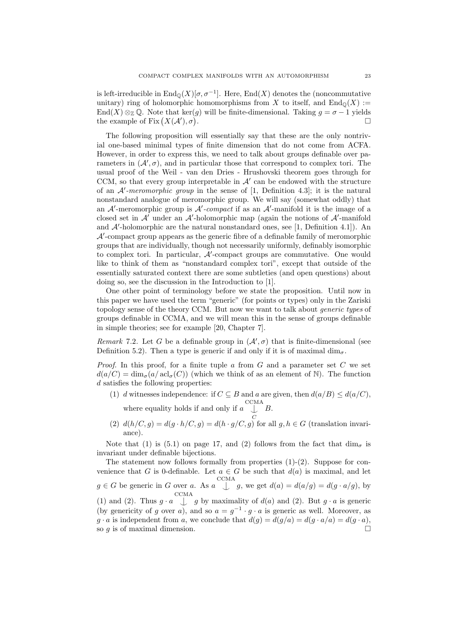is left-irreducible in  $\text{End}_{\mathbb{Q}}(X)[\sigma, \sigma^{-1}]$ . Here,  $\text{End}(X)$  denotes the (noncommutative unitary) ring of holomorphic homomorphisms from X to itself, and  $\text{End}_{\mathbb{Q}}(X) :=$ End(X)  $\otimes_{\mathbb{Z}} \mathbb{Q}$ . Note that ker(g) will be finite-dimensional. Taking  $g = \sigma - 1$  yields the example of Fix  $(X(\mathcal{A}'), \sigma)$ .

The following proposition will essentially say that these are the only nontrivial one-based minimal types of finite dimension that do not come from ACFA. However, in order to express this, we need to talk about groups definable over parameters in  $(A', \sigma)$ , and in particular those that correspond to complex tori. The usual proof of the Weil - van den Dries - Hrushovski theorem goes through for CCM, so that every group interpretable in  $A'$  can be endowed with the structure of an  $A'$ -meromorphic group in the sense of [1, Definition 4.3]; it is the natural nonstandard analogue of meromorphic group. We will say (somewhat oddly) that an  $A'$ -meromorphic group is  $A'$ -compact if as an  $A'$ -manifold it is the image of a closed set in  $A'$  under an  $A'$ -holomorphic map (again the notions of  $A'$ -manifold and  $A'$ -holomorphic are the natural nonstandard ones, see [1, Definition 4.1]). An  $\mathcal{A}'$ -compact group appears as the generic fibre of a definable family of meromorphic groups that are individually, though not necessarily uniformly, definably isomorphic to complex tori. In particular,  $A'$ -compact groups are commutative. One would like to think of them as "nonstandard complex tori", except that outside of the essentially saturated context there are some subtleties (and open questions) about doing so, see the discussion in the Introduction to [1].

One other point of terminology before we state the proposition. Until now in this paper we have used the term "generic" (for points or types) only in the Zariski topology sense of the theory CCM. But now we want to talk about *generic types* of groups definable in CCMA, and we will mean this in the sense of groups definable in simple theories; see for example [20, Chapter 7].

Remark 7.2. Let G be a definable group in  $(\mathcal{A}', \sigma)$  that is finite-dimensional (see Definition 5.2). Then a type is generic if and only if it is of maximal  $\dim_{\sigma}$ .

*Proof.* In this proof, for a finite tuple  $a$  from  $G$  and a parameter set  $C$  we set  $d(a/C) = \dim_{\sigma}(a/\operatorname{acl}_{\sigma}(C))$  (which we think of as an element of N). The function  $d$  satisfies the following properties:

- (1) d witnesses independence: if  $C \subseteq B$  and a are given, then  $d(a/B) \leq d(a/C)$ , where equality holds if and only if  $a \bigcup_{\perp}^{CCMA} B$ .
- (2)  $d(h/C, g) = d(g \cdot h/C, g) = d(h \cdot g/C, g)$  for all  $g, h \in G$  (translation invariance).

Note that (1) is (5.1) on page 17, and (2) follows from the fact that  $\dim_{\sigma}$  is invariant under definable bijections.

The statement now follows formally from properties  $(1)-(2)$ . Suppose for convenience that G is 0-definable. Let  $a \in G$  be such that  $d(a)$  is maximal, and let  $g \in G$  be generic in G over a. As  $a \bigcup_{n=0}^{\text{CCMA}} g$ , we get  $d(a) = d(a/g) = d(g \cdot a/g)$ , by (1) and (2). Thus  $g \cdot a \quad \downarrow \quad g$  by maximality of  $d(a)$  and (2). But  $g \cdot a$  is generic  $\mathop{\rm CCMA}\nolimits$ (by genericity of g over a), and so  $a = g^{-1} \cdot g \cdot a$  is generic as well. Moreover, as  $g \cdot a$  is independent from a, we conclude that  $d(g) = d(g/a) = d(g \cdot a/a) = d(g \cdot a)$ , so  $g$  is of maximal dimension.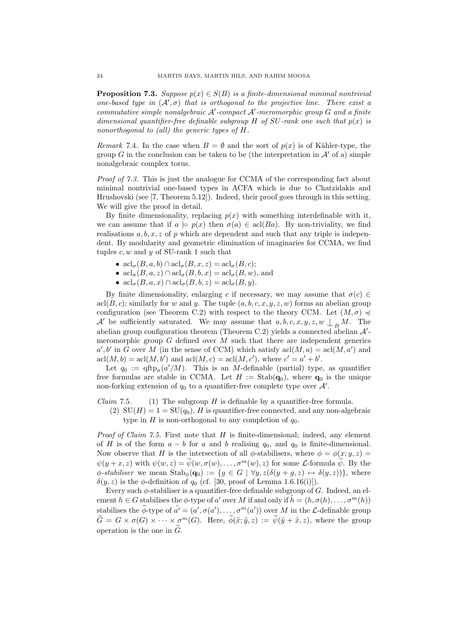**Proposition 7.3.** Suppose  $p(x) \in S(B)$  is a finite-dimensional minimal nontrivial one-based type in  $(A', \sigma)$  that is orthogonal to the projective line. There exist a commutative simple nonalgebraic  $A'$ -compact  $A'$ -meromorphic group  $G$  and a finite dimensional quantifier-free definable subgroup H of SU-rank one such that  $p(x)$  is nonorthogonal to (all) the generic types of H.

Remark 7.4. In the case when  $B = \emptyset$  and the sort of  $p(x)$  is of Kähler-type, the group G in the conclusion can be taken to be (the interpretation in  $\mathcal{A}'$  of a) simple nonalgebraic complex torus.

Proof of 7.3. This is just the analogue for CCMA of the corresponding fact about minimal nontrivial one-based types in ACFA which is due to Chatzidakis and Hrushovski (see [7, Theorem 5.12]). Indeed, their proof goes through in this setting. We will give the proof in detail.

By finite dimensionality, replacing  $p(x)$  with something interdefinable with it, we can assume that if  $a \models p(x)$  then  $\sigma(a) \in \text{acl}(Ba)$ . By non-triviality, we find realisations  $a, b, x, z$  of p which are dependent and such that any triple is independent. By modularity and geometric elimination of imaginaries for CCMA, we find tuples  $c, w$  and  $y$  of SU-rank 1 such that

- $\operatorname{acl}_{\sigma}(B, a, b) \cap \operatorname{acl}_{\sigma}(B, x, z) = \operatorname{acl}_{\sigma}(B, c);$
- $\operatorname{acl}_{\sigma}(B, a, z) \cap \operatorname{acl}_{\sigma}(B, b, x) = \operatorname{acl}_{\sigma}(B, w)$ , and
- $\operatorname{acl}_{\sigma}(B, a, x) \cap \operatorname{acl}_{\sigma}(B, b, z) = \operatorname{acl}_{\sigma}(B, y).$

By finite dimensionality, enlarging c if necessary, we may assume that  $\sigma(c) \in$ acl $(B, c)$ ; similarly for w and y. The tuple  $(a, b, c, x, y, z, w)$  forms an abelian group configuration (see Theorem C.2) with respect to the theory CCM. Let  $(M, \sigma) \preccurlyeq$ A' be sufficiently saturated. We may assume that  $a, b, c, x, y, z, w \nightharpoonup_B M$ . The abelian group configuration theorem (Theorem C.2) yields a connected abelian  $\mathcal{A}'$ meromorphic group  $G$  defined over M such that there are independent generics  $a', b'$  in G over M (in the sense of CCM) which satisfy  $\operatorname{acl}(M, a) = \operatorname{acl}(M, a')$  and  $\operatorname{acl}(M, b) = \operatorname{acl}(M, b')$  and  $\operatorname{acl}(M, c) = \operatorname{acl}(M, c')$ , where  $c' = a' + b'$ .

Let  $q_0 := \text{qftp}_{\sigma}(a'/M)$ . This is an M-definable (partial) type, as quantifier free formulas are stable in CCMA. Let  $H := \text{Stab}(\mathbf{q}_0)$ , where  $\mathbf{q}_0$  is the unique non-forking extension of  $q_0$  to a quantifier-free complete type over  $\mathcal{A}'$ .

*Claim* 7.5. (1) The subgroup  $H$  is definable by a quantifier-free formula.

(2)  $SU(H) = 1 = SU(q<sub>0</sub>)$ , H is quantifier-free connected, and any non-algebraic type in H is non-orthogonal to any completion of  $q_0$ .

*Proof of Claim 7.5.* First note that  $H$  is finite-dimensional; indeed, any element of H is of the form  $a - b$  for a and b realising  $q_0$ , and  $q_0$  is finite-dimensional. Now observe that H is the intersection of all  $\phi$ -stabilisers, where  $\phi = \phi(x; y, z)$  $\psi(y+x, z)$  with  $\psi(w, z) = \tilde{\psi}(w, \sigma(w), \ldots, \sigma^m(w), z)$  for some *L*-formula  $\tilde{\psi}$ . By the  $\phi$ -stabiliser we mean  $\text{Stab}_{\phi}(\mathbf{q}_0) := \{ g \in G \mid \forall y, z(\delta(y + g, z) \leftrightarrow \delta(y, z)) \},$  where  $\delta(y, z)$  is the  $\phi$ -definition of  $q_0$  (cf. [30, proof of Lemma 1.6.16(i)]).

Every such  $\phi$ -stabiliser is a quantifier-free definable subgroup of G. Indeed, an element  $h \in G$  stabilises the  $\phi$ -type of a' over M if and only if  $\tilde{h} = (h, \sigma(h), \ldots, \sigma^m(h))$ stabilises the  $\widetilde{\phi}$ -type of  $\widetilde{a'} = (a', \sigma(a'), \ldots, \sigma^m(a'))$  over M in the L-definable group  $\widetilde{G} = G \times \sigma(G) \times \cdots \times \sigma^m(G)$ . Here,  $\widetilde{\phi}(\tilde{x}; \tilde{y}, z) := \widetilde{\psi}(\tilde{y} + \tilde{x}, z)$ , where the group operation is the one in  $\tilde{G}$ .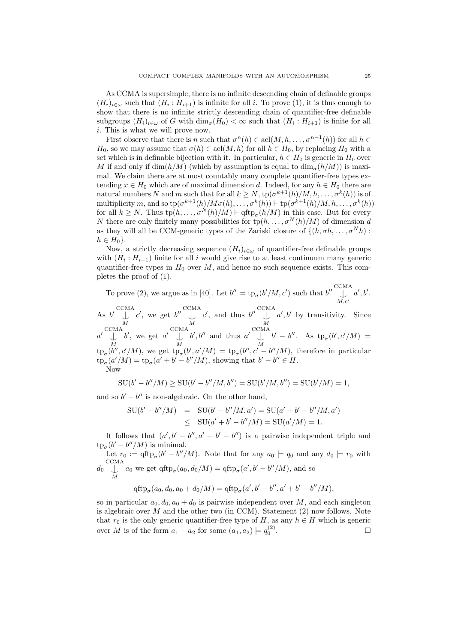As CCMA is supersimple, there is no infinite descending chain of definable groups  $(H_i)_{i\in\omega}$  such that  $(H_i: H_{i+1})$  is infinite for all i. To prove (1), it is thus enough to show that there is no infinite strictly descending chain of quantifier-free definable subgroups  $(H_i)_{i \in \omega}$  of G with  $\dim_{\sigma}(H_0) < \infty$  such that  $(H_i : H_{i+1})$  is finite for all i. This is what we will prove now.

First observe that there is n such that  $\sigma^{n}(h) \in \text{acl}(M, h, \ldots, \sigma^{n-1}(h))$  for all  $h \in$  $H_0$ , so we may assume that  $\sigma(h) \in \text{acl}(M, h)$  for all  $h \in H_0$ , by replacing  $H_0$  with a set which is in definable bijection with it. In particular,  $h \in H_0$  is generic in  $H_0$  over M if and only if  $\dim(h/M)$  (which by assumption is equal to  $\dim_{\sigma}(h/M)$ ) is maximal. We claim there are at most countably many complete quantifier-free types extending  $x \in H_0$  which are of maximal dimension d. Indeed, for any  $h \in H_0$  there are natural numbers N and m such that for all  $k \geq N$ ,  $\text{tp}(\sigma^{k+1}(h)/M, h, \ldots, \sigma^k(h))$  is of multiplicity m, and so  $\text{tp}(\sigma^{k+1}(h)/M\sigma(h), \ldots, \sigma^k(h)) \vdash \text{tp}(\sigma^{k+1}(h)/M, h, \ldots, \sigma^k(h))$ for all  $k \geq N$ . Thus  $tp(h, \ldots, \sigma^N(h)/M) \vdash qftp_{\sigma}(h/M)$  in this case. But for every N there are only finitely many possibilities for  $tp(h, \ldots, \sigma^N(h)/M)$  of dimension d as they will all be CCM-generic types of the Zariski closure of  $\{(h, \sigma h, \ldots, \sigma^N h):$  $h \in H_0$ .

Now, a strictly decreasing sequence  $(H_i)_{i\in\omega}$  of quantifier-free definable groups with  $(H_i: H_{i+1})$  finite for all i would give rise to at least continuum many generic quantifier-free types in  $H_0$  over M, and hence no such sequence exists. This completes the proof of (1).

To prove (2), we argue as in [40]. Let  $b'' \models \text{tp}_{\sigma}(b'/M, c')$  such that  $b'' \bigcup_{\lambda}^{\text{CCMA}} a', b'.$  $M,c'$ 

As  $b'$   $\bigcup_{M}^{CCMA}$  $c'$ , we get  $b'' \bigcup_{M}^{\text{CCMA}}$  $c'$ , and thus  $b'' \bigcup_{M}^{CCMA}$  $a', b'$  by transitivity. Since  $a' \bigcup_{M}^{\text{CCMA}}$ b', we get  $a' \bigcup_{M}^{CCMA}$  $b', b''$  and thus  $a'$   $\bigcup_{M}^{\text{CCMA}}$  $b' - b''$ . As  $tp_{\sigma}(b', c'/M) =$  $\text{tp}_{\sigma}(b'',c'/M)$ , we get  $\text{tp}_{\sigma}(b',a'/M) = \text{tp}_{\sigma}(b'',c'-b''/M)$ , therefore in particular  $\text{tp}_{\sigma}(a'/M) = \text{tp}_{\sigma}(a' + b' - b''/M)$ , showing that  $b' - b'' \in H$ . Now

$$
SU(b'-b''/M) \ge SU(b'-b''/M, b'') = SU(b'/M, b'') = SU(b'/M) = 1,
$$

and so  $b' - b''$  is non-algebraic. On the other hand,

$$
SU(b'-b''/M) = SU(b'-b''/M, a') = SU(a'+b'-b''/M, a')
$$
  
 
$$
\leq SU(a'+b'-b''/M) = SU(a'/M) = 1.
$$

It follows that  $(a', b' - b'', a' + b' - b'')$  is a pairwise independent triple and  $\text{tp}_{\sigma}(b'-b''/M)$  is minimal.

Let  $r_0 := \text{qftp}_{\sigma}(b' - b''/M)$ . Note that for any  $a_0 \models q_0$  and any  $d_0 \models r_0$  with  $d_0 \bigcup_{M}^{\text{CCMA}} a_0$  we get  $qftp_{\sigma}(a_0, d_0/M) = qftp_{\sigma}(a', b' - b''/M)$ , and so

$$
qftpσ(a0, d0, a0 + d0/M) = qftpσ(a', b' - b'', a' + b' - b''/M),
$$

so in particular  $a_0, d_0, a_0 + d_0$  is pairwise independent over M, and each singleton is algebraic over  $M$  and the other two (in CCM). Statement (2) now follows. Note that  $r_0$  is the only generic quantifier-free type of H, as any  $h \in H$  which is generic over M is of the form  $a_1 - a_2$  for some  $(a_1, a_2) \models q_0^{(2)}$ .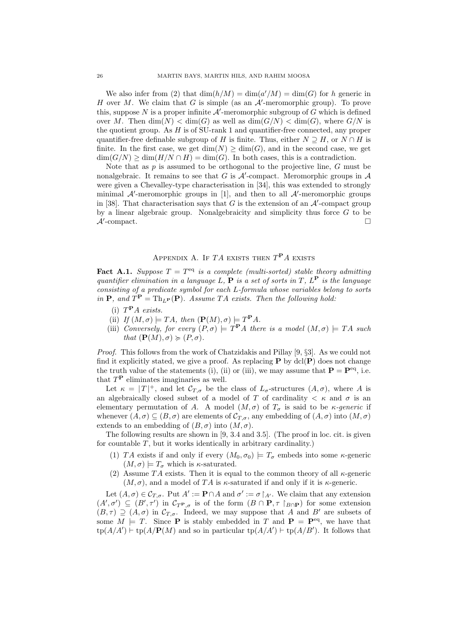We also infer from (2) that  $\dim(h/M) = \dim(a'/M) = \dim(G)$  for h generic in H over M. We claim that G is simple (as an  $\mathcal{A}'$ -meromorphic group). To prove this, suppose N is a proper infinite  $A'$ -meromorphic subgroup of G which is defined over M. Then  $\dim(N) < \dim(G)$  as well as  $\dim(G/N) < \dim(G)$ , where  $G/N$  is the quotient group. As  $H$  is of SU-rank 1 and quantifier-free connected, any proper quantifier-free definable subgroup of H is finite. Thus, either  $N \supset H$ , or  $N \cap H$  is finite. In the first case, we get  $\dim(N) \geq \dim(G)$ , and in the second case, we get  $\dim(G/N) \ge \dim(H/N \cap H) = \dim(G)$ . In both cases, this is a contradiction.

Note that as  $p$  is assumed to be orthogonal to the projective line,  $G$  must be nonalgebraic. It remains to see that G is  $A'$ -compact. Meromorphic groups in  $A$ were given a Chevalley-type characterisation in [34], this was extended to strongly minimal  $A'$ -meromorphic groups in [1], and then to all  $A'$ -meromorphic groups in [38]. That characterisation says that  $G$  is the extension of an  $\mathcal{A}'$ -compact group by a linear algebraic group. Nonalgebraicity and simplicity thus force  $G$  to be  $\mathcal{A}'$ -compact.

# APPENDIX A. IF  $TA$  exists then  $T<sup>P</sup>A$  exists

**Fact A.1.** Suppose  $T = T<sup>eq</sup>$  is a complete (multi-sorted) stable theory admitting quantifier elimination in a language L,  $P$  is a set of sorts in T,  $L^P$  is the language consisting of a predicate symbol for each L-formula whose variables belong to sorts in **P**, and  $T^{\mathbf{P}} = \text{Th}_{L^{\mathbf{P}}}(\mathbf{P})$ . Assume TA exists. Then the following hold:

- (i)  $T^{\mathbf{P}}A$  exists.
- (ii) If  $(M, \sigma) \models TA$ , then  $(\mathbf{P}(M), \sigma) \models T^{\mathbf{P}} A$ .
- (iii) Conversely, for every  $(P, \sigma) \models T^{\mathbf{P}} A$  there is a model  $(M, \sigma) \models TA$  such that  $(\mathbf{P}(M), \sigma) \succcurlyeq (P, \sigma)$ .

Proof. This follows from the work of Chatzidakis and Pillay [9, §3]. As we could not find it explicitly stated, we give a proof. As replacing  $P$  by dcl( $P$ ) does not change the truth value of the statements (i), (ii) or (iii), we may assume that  $\mathbf{P} = \mathbf{P}^{\text{eq}}$ , i.e. that  $T<sup>P</sup>$  eliminates imaginaries as well.

Let  $\kappa = |T|^+$ , and let  $\mathcal{C}_{T,\sigma}$  be the class of  $L_{\sigma}$ -structures  $(A,\sigma)$ , where A is an algebraically closed subset of a model of T of cardinality  $\langle \kappa \rangle$  and  $\sigma$  is an elementary permutation of A. A model  $(M, \sigma)$  of  $T_{\sigma}$  is said to be *κ*-generic if whenever  $(A, \sigma) \subseteq (B, \sigma)$  are elements of  $\mathcal{C}_{T,\sigma}$ , any embedding of  $(A, \sigma)$  into  $(M, \sigma)$ extends to an embedding of  $(B, \sigma)$  into  $(M, \sigma)$ .

The following results are shown in [9, 3.4 and 3.5]. (The proof in loc. cit. is given for countable  $T$ , but it works identically in arbitrary cardinality.)

- (1) TA exists if and only if every  $(M_0, \sigma_0) \models T_{\sigma}$  embeds into some  $\kappa$ -generic  $(M, \sigma) \models T_{\sigma}$  which is  $\kappa$ -saturated.
- (2) Assume TA exists. Then it is equal to the common theory of all  $\kappa$ -generic  $(M, \sigma)$ , and a model of TA is  $\kappa$ -saturated if and only if it is  $\kappa$ -generic.

Let  $(A, \sigma) \in C_{T, \sigma}$ . Put  $A' := \mathbf{P} \cap A$  and  $\sigma' := \sigma \restriction_{A'}$ . We claim that any extension  $(A', \sigma') \subseteq (B', \tau')$  in  $\mathcal{C}_{T^{\mathbf{P}}, \sigma}$  is of the form  $(B \cap \mathbf{P}, \tau \restriction_{B \cap \mathbf{P}})$  for some extension  $(B, \tau) \supseteq (A, \sigma)$  in  $\mathcal{C}_{T, \sigma}$ . Indeed, we may suppose that A and B' are subsets of some  $M \models T$ . Since **P** is stably embedded in T and **P** = **P**<sup>eq</sup>, we have that  $\text{tp}(A/A') \vdash \text{tp}(A/\mathbf{P}(M)$  and so in particular  $\text{tp}(A/A') \vdash \text{tp}(A/B')$ . It follows that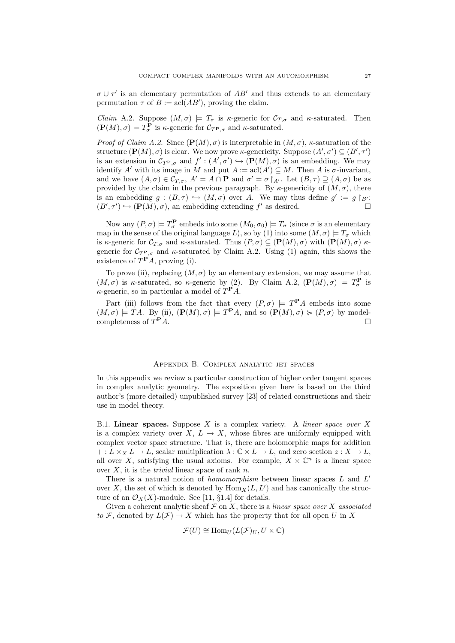$\sigma \cup \tau'$  is an elementary permutation of  $AB'$  and thus extends to an elementary permutation  $\tau$  of  $B := \operatorname{acl}(AB')$ , proving the claim.

Claim A.2. Suppose  $(M, \sigma) \models T_{\sigma}$  is  $\kappa$ -generic for  $\mathcal{C}_{T, \sigma}$  and  $\kappa$ -saturated. Then  $(\mathbf{P}(M), \sigma) \models T_{\sigma}^{\mathbf{P}}$  is  $\kappa$ -generic for  $\mathcal{C}_{T^{\mathbf{P}}, \sigma}$  and  $\kappa$ -saturated.

*Proof of Claim A.2.* Since  $(\mathbf{P}(M), \sigma)$  is interpretable in  $(M, \sigma)$ ,  $\kappa$ -saturation of the structure  $(\mathbf{P}(M), \sigma)$  is clear. We now prove  $\kappa$ -genericity. Suppose  $(A', \sigma') \subseteq (B', \tau')$ is an extension in  $\mathcal{C}_{T^{\mathbf{P}},\sigma}$  and  $f': (A',\sigma') \hookrightarrow (\mathbf{P}(M),\sigma)$  is an embedding. We may identify A' with its image in M and put  $A := \operatorname{acl}(A') \subseteq M$ . Then A is  $\sigma$ -invariant, and we have  $(A, \sigma) \in C_{T, \sigma}$ ,  $A' = A \cap \mathbf{P}$  and  $\sigma' = \sigma |_{A'}$ . Let  $(B, \tau) \supseteq (A, \sigma)$  be as provided by the claim in the previous paragraph. By  $\kappa$ -genericity of  $(M, \sigma)$ , there is an embedding  $g:(B,\tau) \hookrightarrow (M,\sigma)$  over A. We may thus define  $g' := g \upharpoonright_{B'}$ :  $(B', \tau') \hookrightarrow (\mathbf{P}(M), \sigma)$ , an embedding extending f' as desired.

Now any  $(P, \sigma) \models T_{\sigma}^{\mathbf{P}}$  embeds into some  $(M_0, \sigma_0) \models T_{\sigma}$  (since  $\sigma$  is an elementary map in the sense of the original language L), so by (1) into some  $(M, \sigma) \models T_{\sigma}$  which is κ-generic for  $\mathcal{C}_{T,\sigma}$  and κ-saturated. Thus  $(P,\sigma) \subseteq (\mathbf{P}(M),\sigma)$  with  $(\mathbf{P}(M),\sigma)$  κgeneric for  $C_{T_{\tau,\sigma}}$  and  $\kappa$ -saturated by Claim A.2. Using (1) again, this shows the existence of  $T^{\mathbf{P}} A$ , proving (i).

To prove (ii), replacing  $(M, \sigma)$  by an elementary extension, we may assume that  $(M, \sigma)$  is  $\kappa$ -saturated, so  $\kappa$ -generic by (2). By Claim A.2,  $(\mathbf{P}(M), \sigma) \models T_{\sigma}^{\mathbf{P}}$  is  $\kappa$ -generic, so in particular a model of  $T^{\mathbf{P}} A$ .

Part (iii) follows from the fact that every  $(P, \sigma) \models T^{\mathbf{P}}A$  embeds into some  $(M, \sigma) \models TA$ . By (ii),  $(\mathbf{P}(M), \sigma) \models T^{\mathbf{P}}A$ , and so  $(\mathbf{P}(M), \sigma) \succcurlyeq (P, \sigma)$  by modelcompleteness of  $T^{\mathbf{P}} A$ .  $P_A$ .

## Appendix B. Complex analytic jet spaces

In this appendix we review a particular construction of higher order tangent spaces in complex analytic geometry. The exposition given here is based on the third author's (more detailed) unpublished survey [23] of related constructions and their use in model theory.

B.1. Linear spaces. Suppose X is a complex variety. A *linear space over* X is a complex variety over  $X, L \to X$ , whose fibres are uniformly equipped with complex vector space structure. That is, there are holomorphic maps for addition  $+ : L \times_X L \to L$ , scalar multiplication  $\lambda : \mathbb{C} \times L \to L$ , and zero section  $z : X \to L$ , all over X, satisfying the usual axioms. For example,  $X \times \mathbb{C}^n$  is a linear space over  $X$ , it is the *trivial* linear space of rank  $n$ .

There is a natural notion of *homomorphism* between linear spaces  $L$  and  $L'$ over X, the set of which is denoted by  $\text{Hom}_X(L, L')$  and has canonically the structure of an  $\mathcal{O}_X(X)$ -module. See [11, §1.4] for details.

Given a coherent analytic sheaf  $\mathcal F$  on  $X$ , there is a *linear space over*  $X$  associated to F, denoted by  $L(\mathcal{F}) \to X$  which has the property that for all open U in X

$$
\mathcal{F}(U) \cong \text{Hom}_U(L(\mathcal{F})_U, U \times \mathbb{C})
$$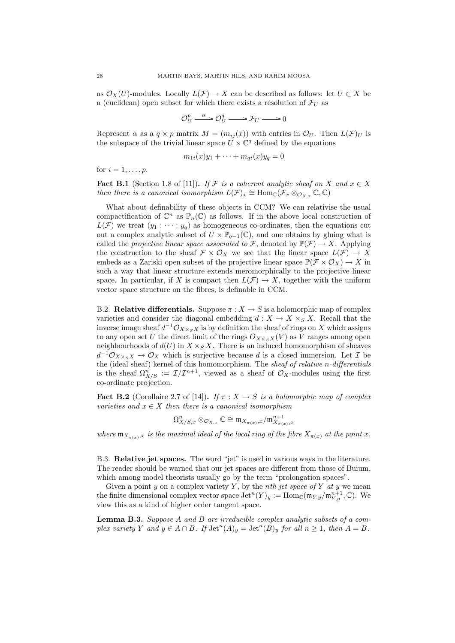as  $\mathcal{O}_X(U)$ -modules. Locally  $L(\mathcal{F}) \to X$  can be described as follows: let  $U \subset X$  be a (euclidean) open subset for which there exists a resolution of  $\mathcal{F}_U$  as

$$
\mathcal{O}_U^p \xrightarrow{\alpha} \mathcal{O}_U^q \longrightarrow \mathcal{F}_U \longrightarrow 0
$$

Represent  $\alpha$  as a  $q \times p$  matrix  $M = (m_{ij}(x))$  with entries in  $\mathcal{O}_U$ . Then  $L(\mathcal{F})_U$  is the subspace of the trivial linear space  $\hat{U} \times \hat{\mathbb{C}}^q$  defined by the equations

$$
m_{1i}(x)y_1 + \cdots + m_{qi}(x)y_q = 0
$$

for  $i=1,\ldots,p$ .

**Fact B.1** (Section 1.8 of [11]). If F is a coherent analytic sheaf on X and  $x \in X$ then there is a canonical isomorphism  $L(\mathcal{F})_x \cong \text{Hom}_{\mathbb{C}}(\mathcal{F}_x \otimes_{\mathcal{O}_{X,x}} \mathbb{C}, \mathbb{C})$ 

What about definability of these objects in CCM? We can relativise the usual compactification of  $\mathbb{C}^n$  as  $\mathbb{P}_n(\mathbb{C})$  as follows. If in the above local construction of  $L(\mathcal{F})$  we treat  $(y_1 : \cdots : y_q)$  as homogeneous co-ordinates, then the equations cut out a complex analytic subset of  $U \times \mathbb{P}_{q-1}(\mathbb{C})$ , and one obtains by gluing what is called the projective linear space associated to F, denoted by  $\mathbb{P}(\mathcal{F}) \to X$ . Applying the construction to the sheaf  $\mathcal{F} \times \mathcal{O}_X$  we see that the linear space  $L(\mathcal{F}) \to X$ embeds as a Zariski open subset of the projective linear space  $\mathbb{P}(\mathcal{F} \times \mathcal{O}_X) \to X$  in such a way that linear structure extends meromorphically to the projective linear space. In particular, if X is compact then  $L(\mathcal{F}) \to X$ , together with the uniform vector space structure on the fibres, is definable in CCM.

B.2. **Relative differentials.** Suppose  $\pi : X \to S$  is a holomorphic map of complex varieties and consider the diagonal embedding  $d: X \to X \times_S X$ . Recall that the inverse image sheaf  $d^{-1}\mathcal{O}_{X\times_S X}$  is by definition the sheaf of rings on X which assigns to any open set U the direct limit of the rings  $O_{X\times_S X}(V)$  as V ranges among open neighbourhoods of  $d(U)$  in  $X \times_S X$ . There is an induced homomorphism of sheaves  $d^{-1}\mathcal{O}_{X\times_S X} \to \mathcal{O}_X$  which is surjective because d is a closed immersion. Let  $\mathcal I$  be the (ideal sheaf) kernel of this homomorphism. The sheaf of relative n-differentials is the sheaf  $\Omega_{X/S}^n := \mathcal{I}/\mathcal{I}^{n+1}$ , viewed as a sheaf of  $\mathcal{O}_X$ -modules using the first co-ordinate projection.

**Fact B.2** (Corollaire 2.7 of [14]). If  $\pi : X \to S$  is a holomorphic map of complex varieties and  $x \in X$  then there is a canonical isomorphism

$$
\underline{\Omega}^n_{X/S, x} \otimes_{\mathcal{O}_{X, x}} \mathbb{C} \cong \mathfrak{m}_{X_{\pi(x)}, x} / \mathfrak{m}^{n+1}_{X_{\pi(x)}, x}
$$

where  $\mathfrak{m}_{X_{\pi(x)},x}$  is the maximal ideal of the local ring of the fibre  $X_{\pi(x)}$  at the point x.

B.3. Relative jet spaces. The word "jet" is used in various ways in the literature. The reader should be warned that our jet spaces are different from those of Buium, which among model theorists usually go by the term "prolongation spaces".

Given a point  $y$  on a complex variety  $Y$ , by the nth jet space of  $Y$  at  $y$  we mean the finite dimensional complex vector space  $\mathrm{Jet}^n(Y)_y := \mathrm{Hom}_{\mathbb{C}}(\mathfrak{m}_{Y,y}/\mathfrak{m}_{Y,y}^{n+1}, \mathbb{C})$ . We view this as a kind of higher order tangent space.

Lemma B.3. Suppose A and B are irreducible complex analytic subsets of a complex variety Y and  $y \in A \cap B$ . If  $\mathrm{Jet}^n(A)_y = \mathrm{Jet}^n(B)_y$  for all  $n \geq 1$ , then  $A = B$ .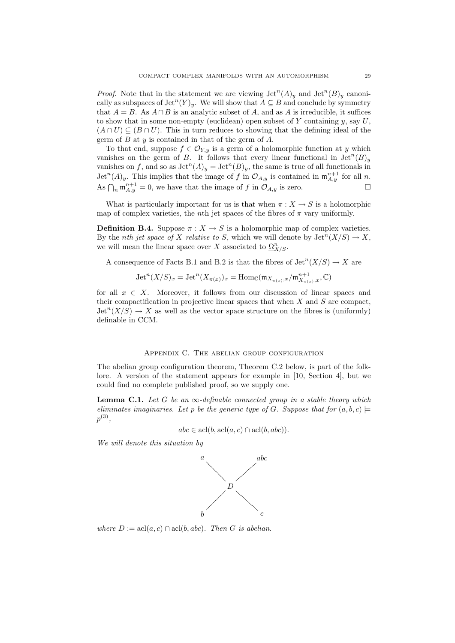*Proof.* Note that in the statement we are viewing  $\mathrm{Jet}^n(A)_y$  and  $\mathrm{Jet}^n(B)_y$  canonically as subspaces of  $\mathrm{Jet}^n(Y)_y$ . We will show that  $A\subseteq B$  and conclude by symmetry that  $A = B$ . As  $A \cap B$  is an analytic subset of A, and as A is irreducible, it suffices to show that in some non-empty (euclidean) open subset of  $Y$  containing  $y$ , say  $U$ ,  $(A \cap U) \subseteq (B \cap U)$ . This in turn reduces to showing that the defining ideal of the germ of  $B$  at  $y$  is contained in that of the germ of  $A$ .

To that end, suppose  $f \in \mathcal{O}_{Y,y}$  is a germ of a holomorphic function at y which vanishes on the germ of B. It follows that every linear functional in  $\mathrm{Jet}^n(B)_y$ vanishes on f, and so as  $\mathrm{Jet}^n(A)_y = \mathrm{Jet}^n(B)_y$ , the same is true of all functionals in  $\mathrm{Jet}^n(A)_y$ . This implies that the image of f in  $\mathcal{O}_{A,y}$  is contained in  $\mathfrak{m}_{A,y}^{n+1}$  for all n. As  $\bigcap_n \mathfrak{m}_{A,y}^{n+1} = 0$ , we have that the image of f in  $\mathcal{O}_{A,y}$  is zero.

What is particularly important for us is that when  $\pi : X \to S$  is a holomorphic map of complex varieties, the *n*th jet spaces of the fibres of  $\pi$  vary uniformly.

**Definition B.4.** Suppose  $\pi : X \to S$  is a holomorphic map of complex varieties. By the *nth jet space of* X relative to S, which we will denote by  $\mathrm{Jet}^n(X/S) \to X$ , we will mean the linear space over X associated to  $\Omega_{X/S}^n$ .

A consequence of Facts B.1 and B.2 is that the fibres of  $\mathrm{Jet}^n(X/S) \to X$  are

$$
\operatorname{Jet}^n(X/S)_x = \operatorname{Jet}^n(X_{\pi(x)})_x = \operatorname{Hom}_{\mathbb{C}}(\mathfrak{m}_{X_{\pi(x)},x}/\mathfrak{m}_{X_{\pi(x)},x}^{n+1},\mathbb{C})
$$

for all  $x \in X$ . Moreover, it follows from our discussion of linear spaces and their compactification in projective linear spaces that when  $X$  and  $S$  are compact,  $\mathrm{Jet}^n(X/S) \to X$  as well as the vector space structure on the fibres is (uniformly) definable in CCM.

#### Appendix C. The abelian group configuration

The abelian group configuration theorem, Theorem C.2 below, is part of the folklore. A version of the statement appears for example in [10, Section 4], but we could find no complete published proof, so we supply one.

**Lemma C.1.** Let G be an  $\infty$ -definable connected group in a stable theory which eliminates imaginaries. Let p be the generic type of G. Suppose that for  $(a, b, c)$  $p^{(3)},$ 

$$
abc \in \operatorname{acl}(b, \operatorname{acl}(a, c) \cap \operatorname{acl}(b, abc)).
$$

We will denote this situation by



where  $D := \text{acl}(a, c) \cap \text{acl}(b, abc)$ . Then G is abelian.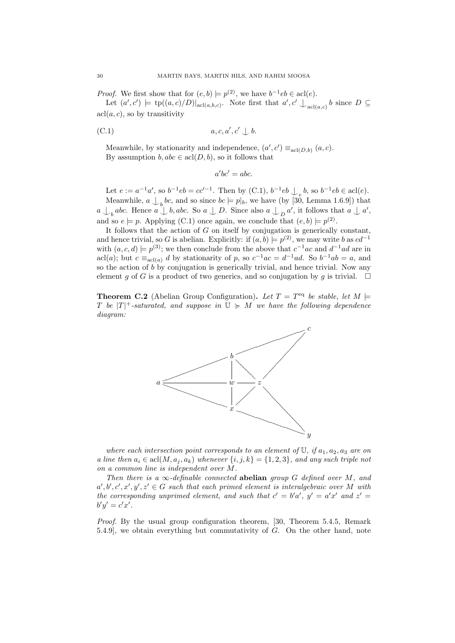*Proof.* We first show that for  $(e, b) \models p^{(2)}$ , we have  $b^{-1}eb \in \text{acl}(e)$ .

Let  $(a',c') \models \text{tp}((a,c)/D)|_{\text{acl}(a,b,c)}$ . Note first that  $a',c' \downarrow_{\text{acl}(a,c)} b$  since  $D \subseteq$  $\operatorname{acl}(a, c)$ , so by transitivity

(C.1) 
$$
a, c, a', c' \perp b.
$$

Meanwhile, by stationarity and independence,  $(a', c') \equiv_{\text{acl}(D, b)} (a, c)$ . By assumption  $b, abc \in \text{acl}(D, b)$ , so it follows that

$$
a'bc' = abc.
$$

Let  $e := a^{-1}a'$ , so  $b^{-1}eb = cc'^{-1}$ . Then by (C.1),  $b^{-1}eb \bigcup_e b$ , so  $b^{-1}eb \in \text{acl}(e)$ . Meanwhile,  $a \bigcup_{b} bc$ , and so since  $bc \models p|_b$ , we have (by [30, Lemma 1.6.9]) that  $a \bigcup_b abc$ . Hence  $a \bigcup b, abc$ . So  $a \bigcup D$ . Since also  $a \bigcup_D a'$ , it follows that  $a \bigcup a'$ , and so  $e \models p$ . Applying (C.1) once again, we conclude that  $(e, b) \models p^{(2)}$ .

It follows that the action of  $G$  on itself by conjugation is generically constant, and hence trivial, so G is abelian. Explicitly: if  $(a, b) \models p^{(2)}$ , we may write b as  $cd^{-1}$ with  $(a, c, d) \models p^{(3)}$ ; we then conclude from the above that  $c^{-1}ac$  and  $d^{-1}ad$  are in acl(a); but  $c \equiv_{\text{acl}(a)} d$  by stationarity of p, so  $c^{-1}ac = d^{-1}ad$ . So  $b^{-1}ab = a$ , and so the action of b by conjugation is generically trivial, and hence trivial. Now any element g of G is a product of two generics, and so conjugation by g is trivial.  $\Box$ 

**Theorem C.2** (Abelian Group Configuration). Let  $T = T<sup>eq</sup>$  be stable, let  $M \models$ T be  $|T|^+$ -saturated, and suppose in  $\mathbb{U} \succcurlyeq M$  we have the following dependence diagram:



where each intersection point corresponds to an element of  $\mathbb{U}$ , if  $a_1, a_2, a_3$  are on a line then  $a_i \in \text{acl}(M, a_j, a_k)$  whenever  $\{i, j, k\} = \{1, 2, 3\}$ , and any such triple not on a common line is independent over M.

Then there is a  $\infty$ -definable connected **abelian** group G defined over M, and  $a', b', c', x', y', z' \in G$  such that each primed element is interalgebraic over M with the corresponding unprimed element, and such that  $c' = b'a'$ ,  $y' = a'x'$  and  $z' = b'$  $b'y' = c'x'.$ 

Proof. By the usual group configuration theorem, [30, Theorem 5.4.5, Remark 5.4.9], we obtain everything but commutativity of G. On the other hand, note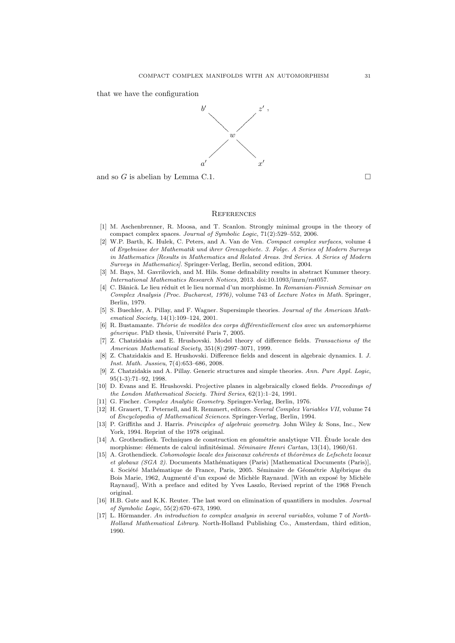that we have the configuration



and so G is abelian by Lemma C.1.  $\Box$ 

#### **REFERENCES**

- [1] M. Aschenbrenner, R. Moosa, and T. Scanlon. Strongly minimal groups in the theory of compact complex spaces. Journal of Symbolic Logic, 71(2):529–552, 2006.
- [2] W.P. Barth, K. Hulek, C. Peters, and A. Van de Ven. Compact complex surfaces, volume 4 of Ergebnisse der Mathematik und ihrer Grenzgebiete. 3. Folge. A Series of Modern Surveys in Mathematics [Results in Mathematics and Related Areas. 3rd Series. A Series of Modern Surveys in Mathematics]. Springer-Verlag, Berlin, second edition, 2004.
- [3] M. Bays, M. Gavrilovich, and M. Hils. Some definability results in abstract Kummer theory. International Mathematics Research Notices, 2013. doi:10.1093/imrn/rnt057.
- [4] C. Bănică. Le lieu réduit et le lieu normal d'un morphisme. In Romanian-Finnish Seminar on Complex Analysis (Proc. Bucharest, 1976), volume 743 of Lecture Notes in Math. Springer, Berlin, 1979.
- [5] S. Buechler, A. Pillay, and F. Wagner. Supersimple theories. Journal of the American Mathematical Society, 14(1):109–124, 2001.
- [6] R. Bustamante. Théorie de modèles des corps différentiellement clos avec un automorphisme *génerique*. PhD thesis, Université Paris 7, 2005.
- [7] Z. Chatzidakis and E. Hrushovski. Model theory of difference fields. Transactions of the American Mathematical Society, 351(8):2997–3071, 1999.
- [8] Z. Chatzidakis and E. Hrushovski. Difference fields and descent in algebraic dynamics. I. J. Inst. Math. Jussieu, 7(4):653–686, 2008.
- [9] Z. Chatzidakis and A. Pillay. Generic structures and simple theories. Ann. Pure Appl. Logic, 95(1-3):71–92, 1998.
- [10] D. Evans and E. Hrushovski. Projective planes in algebraically closed fields. Proceedings of the London Mathematical Society. Third Series, 62(1):1–24, 1991.
- [11] G. Fischer. Complex Analytic Geometry. Springer-Verlag, Berlin, 1976.
- [12] H. Grauert, T. Peternell, and R. Remmert, editors. Several Complex Variables VII, volume 74 of Encyclopedia of Mathematical Sciences. Springer-Verlag, Berlin, 1994.
- [13] P. Griffiths and J. Harris. Principles of algebraic geometry. John Wiley & Sons, Inc., New York, 1994. Reprint of the 1978 original.
- [14] A. Grothendieck. Techniques de construction en géométrie analytique VII. Étude locale des morphisme: éléments de calcul infinitésimal. Séminaire Henri Cartan, 13(14), 1960/61.
- [15] A. Grothendieck. Cohomologie locale des faisceaux cohérents et théorèmes de Lefschetz locaux et globaux (SGA 2). Documents Mathématiques (Paris) [Mathematical Documents (Paris)], 4. Société Mathématique de France, Paris, 2005. Séminaire de Géométrie Algébrique du Bois Marie, 1962, Augmenté d'un exposé de Michèle Raynaud. [With an exposé by Michèle Raynaud], With a preface and edited by Yves Laszlo, Revised reprint of the 1968 French original.
- [16] H.B. Gute and K.K. Reuter. The last word on elimination of quantifiers in modules. Journal of Symbolic Logic, 55(2):670–673, 1990.
- $[17]$  L. Hörmander. An introduction to complex analysis in several variables, volume 7 of North-Holland Mathematical Library. North-Holland Publishing Co., Amsterdam, third edition, 1990.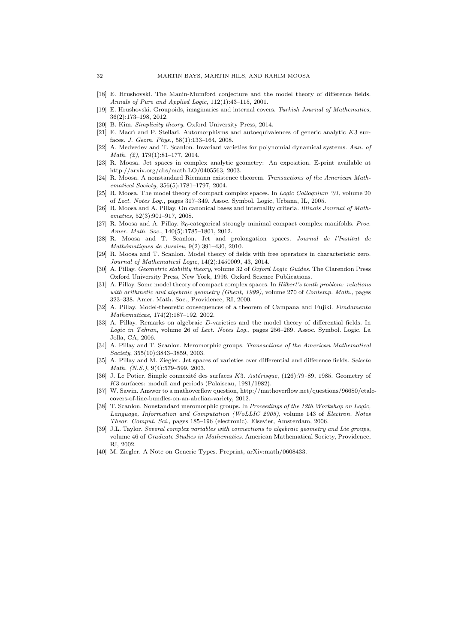- [18] E. Hrushovski. The Manin-Mumford conjecture and the model theory of difference fields. Annals of Pure and Applied Logic, 112(1):43–115, 2001.
- [19] E. Hrushovski. Groupoids, imaginaries and internal covers. Turkish Journal of Mathematics, 36(2):173–198, 2012.
- [20] B. Kim. Simplicity theory. Oxford University Press, 2014.
- [21] E. Macrì and P. Stellari. Automorphisms and autoequivalences of generic analytic  $K3$  surfaces. J. Geom. Phys., 58(1):133–164, 2008.
- [22] A. Medvedev and T. Scanlon. Invariant varieties for polynomial dynamical systems. Ann. of Math. (2), 179(1):81–177, 2014.
- [23] R. Moosa. Jet spaces in complex analytic geometry: An exposition. E-print available at http://arxiv.org/abs/math.LO/0405563, 2003.
- [24] R. Moosa. A nonstandard Riemann existence theorem. Transactions of the American Mathematical Society, 356(5):1781–1797, 2004.
- [25] R. Moosa. The model theory of compact complex spaces. In *Logic Colloquium '01*, volume 20 of Lect. Notes Log., pages 317–349. Assoc. Symbol. Logic, Urbana, IL, 2005.
- [26] R. Moosa and A. Pillay. On canonical bases and internality criteria. Illinois Journal of Mathematics, 52(3):901–917, 2008.
- [27] R. Moosa and A. Pillay.  $\aleph_0$ -categorical strongly minimal compact complex manifolds. *Proc.* Amer. Math. Soc., 140(5):1785–1801, 2012.
- [28] R. Moosa and T. Scanlon. Jet and prolongation spaces. Journal de l'Institut de Mathématiques de Jussieu, 9(2):391-430, 2010.
- [29] R. Moosa and T. Scanlon. Model theory of fields with free operators in characteristic zero. Journal of Mathematical Logic, 14(2):1450009, 43, 2014.
- [30] A. Pillay. Geometric stability theory, volume 32 of Oxford Logic Guides. The Clarendon Press Oxford University Press, New York, 1996. Oxford Science Publications.
- [31] A. Pillay. Some model theory of compact complex spaces. In Hilbert's tenth problem: relations with arithmetic and algebraic geometry (Ghent, 1999), volume 270 of Contemp. Math., pages 323–338. Amer. Math. Soc., Providence, RI, 2000.
- [32] A. Pillay. Model-theoretic consequences of a theorem of Campana and Fujiki. Fundamenta Mathematicae, 174(2):187–192, 2002.
- [33] A. Pillay. Remarks on algebraic D-varieties and the model theory of differential fields. In Logic in Tehran, volume 26 of Lect. Notes Log., pages 256–269. Assoc. Symbol. Logic, La Jolla, CA, 2006.
- [34] A. Pillay and T. Scanlon. Meromorphic groups. Transactions of the American Mathematical Society, 355(10):3843–3859, 2003.
- [35] A. Pillay and M. Ziegler. Jet spaces of varieties over differential and difference fields. Selecta Math. (N.S.), 9(4):579–599, 2003.
- [36] J. Le Potier. Simple connexité des surfaces K3. Astérisque,  $(126)$ :79–89, 1985. Geometry of K3 surfaces: moduli and periods (Palaiseau, 1981/1982).
- [37] W. Sawin. Answer to a mathoverflow question, http://mathoverflow.net/questions/96680/etalecovers-of-line-bundles-on-an-abelian-variety, 2012.
- [38] T. Scanlon. Nonstandard meromorphic groups. In Proceedings of the 12th Workshop on Logic, Language, Information and Computation (WoLLIC 2005), volume 143 of Electron. Notes Theor. Comput. Sci., pages 185–196 (electronic). Elsevier, Amsterdam, 2006.
- [39] J.L. Taylor. Several complex variables with connections to algebraic geometry and Lie groups, volume 46 of Graduate Studies in Mathematics. American Mathematical Society, Providence, RI, 2002.
- [40] M. Ziegler. A Note on Generic Types. Preprint, arXiv:math/0608433.